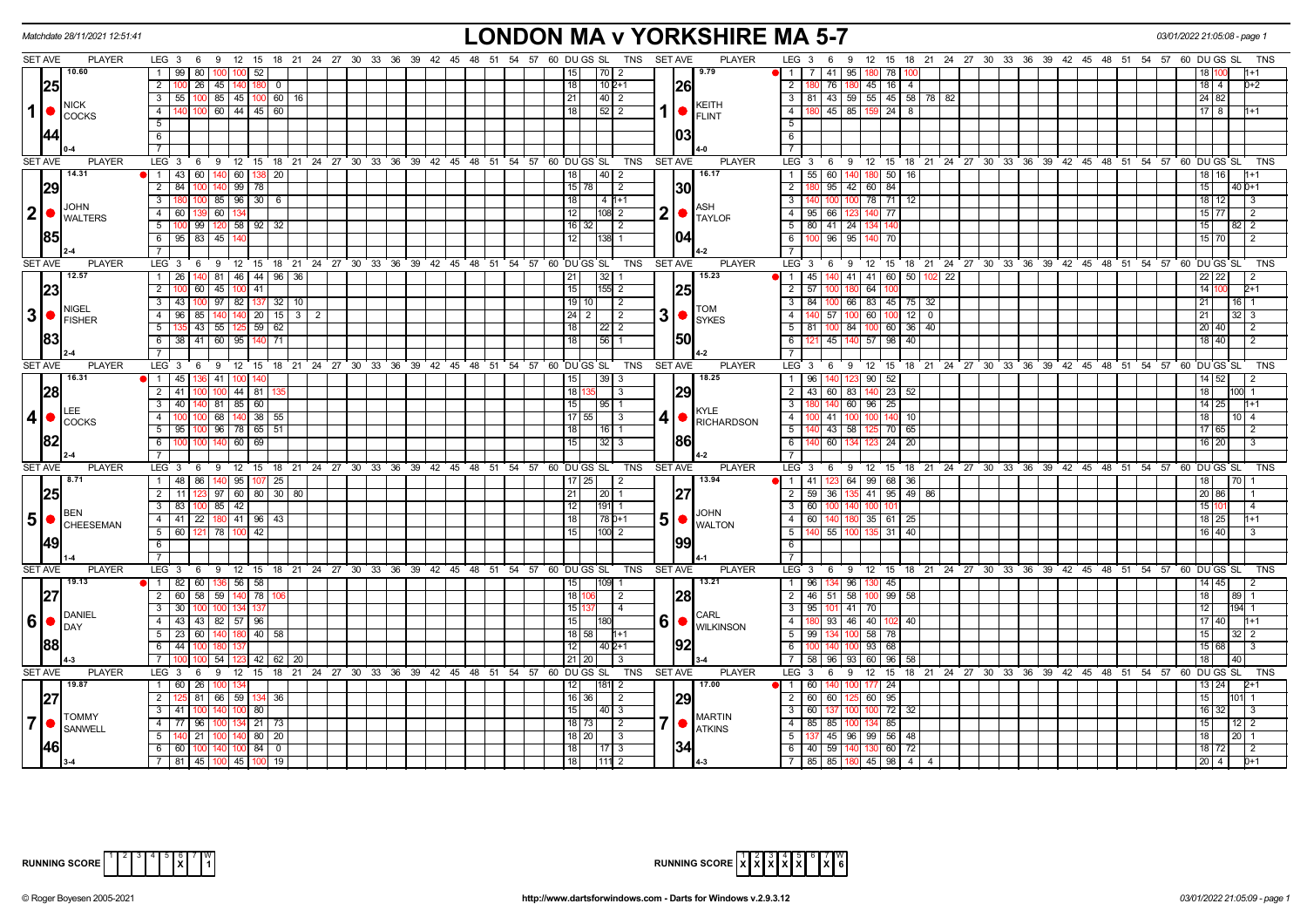| Matchdate 28/11/2021 12:51:41                                                                                                                                                                                                                                                                                                                                                                                                       |                                                                                    | LONDON MA v YORKSHIRE MA 5-7                                                                                |                                                                                         | 03/01/2022 21:05:08 - page              |
|-------------------------------------------------------------------------------------------------------------------------------------------------------------------------------------------------------------------------------------------------------------------------------------------------------------------------------------------------------------------------------------------------------------------------------------|------------------------------------------------------------------------------------|-------------------------------------------------------------------------------------------------------------|-----------------------------------------------------------------------------------------|-----------------------------------------|
| <b>SET AVE</b><br><b>PLAYER</b>                                                                                                                                                                                                                                                                                                                                                                                                     |                                                                                    | LEG 3 6 9 12 15 18 21 24 27 30 33 36 39 42 45 48 51 54 57 60 DUGS SL TNS SETAVE<br><b>PLAYER</b>            | LEG 3 6 9 12 15 18 21 24 27 30 33 36 39 42 45 48 51 54 57 60 DUGS SL                    | TNS                                     |
| 10.60                                                                                                                                                                                                                                                                                                                                                                                                                               | $1 \t99$<br>-80 I<br>-52                                                           | 17012<br>9.79<br>11 I<br>15 I                                                                               | l 41 l 95 l<br>180 78                                                                   |                                         |
| 25                                                                                                                                                                                                                                                                                                                                                                                                                                  | 2 100<br>26 45 140 180 0                                                           | $102+1$<br> 26<br>18                                                                                        | 76   180   45   16   4<br>2   180                                                       | $18 \mid 4$<br>0+2                      |
|                                                                                                                                                                                                                                                                                                                                                                                                                                     | $3   55   100   85   45   100   60   16$                                           | 21<br>140   2                                                                                               | 3   81   43   59   55   45   58   78   82                                               | 24 82                                   |
| NICK<br>1<br>$\bigcirc$ $\bigcirc$ $\bigcirc$ $\bigcirc$ $\bigcirc$ $\bigcirc$ $\bigcirc$ $\bigcirc$ $\bigcirc$ $\bigcirc$ $\bigcirc$ $\bigcirc$ $\bigcirc$ $\bigcirc$ $\bigcirc$ $\bigcirc$ $\bigcirc$ $\bigcirc$ $\bigcirc$ $\bigcirc$ $\bigcirc$ $\bigcirc$ $\bigcirc$ $\bigcirc$ $\bigcirc$ $\bigcirc$ $\bigcirc$ $\bigcirc$ $\bigcirc$ $\bigcirc$ $\bigcirc$ $\bigcirc$ $\bigcirc$ $\bigcirc$ $\bigcirc$ $\bigcirc$ $\bigcirc$ | 60 44 45 60<br>$\overline{4}$<br>າດດ                                               | KEITH<br>$1  \bullet  _{\sf FLINT}$<br>18 <sup>1</sup><br>52 2                                              | $145 \mid 85$<br>$159$ 24 8<br>4 I                                                      | $17 \quad 8$<br>1+1                     |
|                                                                                                                                                                                                                                                                                                                                                                                                                                     | 5                                                                                  |                                                                                                             | 5                                                                                       |                                         |
| 144                                                                                                                                                                                                                                                                                                                                                                                                                                 | 6                                                                                  | 103                                                                                                         | 6                                                                                       |                                         |
|                                                                                                                                                                                                                                                                                                                                                                                                                                     | $\overline{7}$                                                                     |                                                                                                             | $\overline{7}$                                                                          |                                         |
| <b>SET AVE</b><br><b>PLAYER</b>                                                                                                                                                                                                                                                                                                                                                                                                     | LEG <sub>3</sub><br>6 9 12 15 18 21 24 27 30 33 36 39 42 45 48 51 54 57 60 DUGS SL | <b>SET AVE</b><br><b>PLAYER</b><br>TNS                                                                      | LEG 3 6 9 12 15 18 21 24 27 30 33 36 39 42 45 48 51 54 57 60 DUGS SL                    | TNS                                     |
| 14.31                                                                                                                                                                                                                                                                                                                                                                                                                               | $1 \t 43 \t 60 \t 140 \t 60 \t 138 \t 20$                                          | 16.17<br>18<br> 40 2                                                                                        | 60 140 180 50 16<br>$1 \mid 55 \mid$                                                    | 18 16<br>1+1                            |
| 29                                                                                                                                                                                                                                                                                                                                                                                                                                  | $99$ 78<br>$2 \mid 84$<br>100<br>140                                               | $15$ 78<br>130<br>$\sqrt{2}$                                                                                | $\overline{2}$<br>95 42 60 84                                                           | 15<br>$40D+1$                           |
| <b>JOHN</b>                                                                                                                                                                                                                                                                                                                                                                                                                         | $100 \ 85 \ 96 \ 30 \ 6$<br>3 180                                                  | 18<br>$14 1+1$<br><b>ASH</b>                                                                                | $3 \mid 140$<br>100 100 78 71 12                                                        | 18 12<br>3                              |
| $2$ $\bullet$ $\frac{JOHN}{WALTERS}$                                                                                                                                                                                                                                                                                                                                                                                                | 4 60 139 60 134                                                                    | 2 • <br>12 <sub>1</sub><br>$1108$ $2$<br><b>TAYLOF</b>                                                      | 4 95 66 123 140 77                                                                      | 15 77<br>2                              |
|                                                                                                                                                                                                                                                                                                                                                                                                                                     | 5   100   99   120   58   92   32                                                  | 16 32<br>$\sqrt{2}$                                                                                         | 5   80   41   24  <br>1341                                                              | 15 <sup>1</sup><br>2                    |
| 1851                                                                                                                                                                                                                                                                                                                                                                                                                                | 6 95 83 45 140                                                                     | 104<br>12 <sub>1</sub>                                                                                      | $96 \mid 95 \mid$<br>$6 \mid 100$<br>140 70                                             | 15 70<br>2                              |
|                                                                                                                                                                                                                                                                                                                                                                                                                                     |                                                                                    |                                                                                                             | 7 I                                                                                     |                                         |
| <b>SET AVE</b><br><b>PLAYER</b>                                                                                                                                                                                                                                                                                                                                                                                                     | $LEG \ 3$<br>9<br>6                                                                | 12 15 18 21 24 27 30 33 36 39 42 45 48 51 54 57 60 DUGS SL<br>TNS<br><b>SET AVE</b><br><b>PLAYER</b>        | LEG <sup>3</sup><br>9 12 15 18 21 24 27 30 33 36 39 42 45 48 51 54 57 60 DUGS SL<br>- 6 | TNS                                     |
| 12.57                                                                                                                                                                                                                                                                                                                                                                                                                               | 140 81 46 44 96 36<br>$1 \overline{26}$                                            | 15.23<br>21<br> 32 1                                                                                        | $1$   45   140   41   41   60   50   102   22                                           | $22$ 22<br>$\overline{2}$               |
| 23                                                                                                                                                                                                                                                                                                                                                                                                                                  | 2 100 60 45 100 41                                                                 | 15<br>25<br>$ 155 $ 2                                                                                       | $2 \mid 57 \mid$<br>64<br>l 100<br>100                                                  | 14 100<br>$2+1$                         |
| NIGEL                                                                                                                                                                                                                                                                                                                                                                                                                               | 3 43 100 97 82 137 32 10                                                           | $19$   10  <br>$\sqrt{2}$<br><b>TOM</b>                                                                     | $3$   84   100   66   83   45   75   32                                                 | 21<br> 16                               |
| $3$ $\bullet$ $\mathsf{FISHER}$                                                                                                                                                                                                                                                                                                                                                                                                     | $140$ 140 20 15 3 2<br>$\overline{4}$<br>$96 \mid$<br>85                           | 3 • <br>$24$   2  <br>$\overline{2}$<br><b>SYKES</b>                                                        | 57 100 60 100<br>120<br>4 I                                                             | 21<br>32 <sub>1</sub><br>$\cdot$ 3      |
|                                                                                                                                                                                                                                                                                                                                                                                                                                     | $5 \mid 135 \mid 43 \mid 55 \mid 125 \mid 59 \mid 62$                              | 18<br> 22 2                                                                                                 | 100 84 100 60 36 40<br>$5 \mid 81$                                                      | 20 40<br>$\overline{2}$                 |
| 83                                                                                                                                                                                                                                                                                                                                                                                                                                  | 6 38 41 60 95 140 71                                                               | 150<br> 56 1<br>18                                                                                          | 6   121   45   140   57   98   40                                                       | 18 40<br>$\overline{2}$                 |
|                                                                                                                                                                                                                                                                                                                                                                                                                                     | $\overline{7}$                                                                     |                                                                                                             | 7 <sup>1</sup>                                                                          |                                         |
| <b>SET AVE</b><br><b>PLAYER</b>                                                                                                                                                                                                                                                                                                                                                                                                     | LEG 3 6 9 12 15 18 21 24 27 30 33 36 39 42 45 48 51 54 57 60 DUGS SL               | <b>SET AVE</b><br><b>PLAYER</b><br>TNS<br>18.25                                                             | LEG <sub>3</sub><br>9 12 15 18 21 24 27 30 33 36 39 42 45 48 51 54 57 60 DUGS SL<br>6   | TNS                                     |
| 16.31                                                                                                                                                                                                                                                                                                                                                                                                                               | $1 \mid 45 \mid 136 \mid 41 \mid 100 \mid$                                         | 15<br>  39   3                                                                                              | $90 \ 52$<br>$\overline{1}$   96  <br>$2$ 43 60 83 140 23 52                            | 14 52                                   |
| 28                                                                                                                                                                                                                                                                                                                                                                                                                                  | $2 \mid 41 \mid$<br>$100$ 44 81<br>140 81 85 60<br>$3 \mid 40 \mid$                | 18 1<br> 29<br>l 3<br>15                                                                                    | $\overline{3}$<br>140 60 96 25                                                          | 18<br>$14$ 25                           |
| LEE                                                                                                                                                                                                                                                                                                                                                                                                                                 | 100 68 140 38 55<br>4 100                                                          | 95 1<br>KYLE<br>$17 \mid 55 \mid$<br>$\vert$ 3                                                              | 4   100   41   100<br>100 140 10                                                        | l1+1<br>18<br>10 <sup>14</sup>          |
| (4)<br><b>COCKS</b>                                                                                                                                                                                                                                                                                                                                                                                                                 | $5$ $95$ $100$ $96$ $78$ $65$ $51$                                                 | 4   RICHARDSON<br>18<br>$\overline{116}$   1                                                                | $\overline{5}$ 140 43 58 125 70 65                                                      | 17 65<br>2                              |
| 82                                                                                                                                                                                                                                                                                                                                                                                                                                  | 6 100 100 140 60 69                                                                | 186<br>15<br>13213                                                                                          | 6   140   60   134   123   24   20                                                      | $16$ 20<br>3                            |
|                                                                                                                                                                                                                                                                                                                                                                                                                                     |                                                                                    |                                                                                                             |                                                                                         |                                         |
| SET AVE<br><b>PLAYER</b>                                                                                                                                                                                                                                                                                                                                                                                                            | LEG <sub>3</sub><br>6<br>9                                                         | 12 15 18 21 24 27 30 33 36 39 42 45 48 51 54 57 60 DUGS SL<br><b>TNS</b><br><b>SET AVE</b><br><b>PLAYER</b> | $LEG_36$<br>12 15 18 21 24 27 30 33 36 39 42 45 48 51 54 57 60 DUGS SL<br>9             | TNS                                     |
| 18.71                                                                                                                                                                                                                                                                                                                                                                                                                               | 1 48 86 140 95 107 25                                                              | 13.94<br>$17$   25  <br>l 2                                                                                 | 1   41   123   64   99   68   36                                                        | 18<br> 70                               |
| 25                                                                                                                                                                                                                                                                                                                                                                                                                                  | 123 97 60 80 30 80<br>$2 \mid 11 \mid$                                             | 21<br>$\vert 20 \vert$ 1                                                                                    | 41 95 49 86<br>2 59 36 139                                                              | 20 86                                   |
|                                                                                                                                                                                                                                                                                                                                                                                                                                     | $100$   85   42  <br>$3 \mid 83 \mid$                                              | 12<br> 191  1                                                                                               | 3 60 100 140<br>100 101                                                                 | 151<br>-4                               |
| <b>BEN</b><br>$\vert 5 \vert$ $\bullet$ $\vert_{\text{CHEESEMAN}}$                                                                                                                                                                                                                                                                                                                                                                  | 4 41 22 180 41 96 43                                                               | <b>JOHN</b><br>$50$ $\sim$ $\sim$<br>18<br>$ 78 0+1$                                                        | 4 60 140 180 35 61 25                                                                   | 18 25<br>1+1                            |
|                                                                                                                                                                                                                                                                                                                                                                                                                                     | 5 60 121 78 100 42                                                                 | 15 <sub>l</sub><br>100 2                                                                                    | 55   100   135   31   40<br>5   140                                                     | 16 40                                   |
| 49                                                                                                                                                                                                                                                                                                                                                                                                                                  | 6                                                                                  | 199                                                                                                         | 6                                                                                       |                                         |
|                                                                                                                                                                                                                                                                                                                                                                                                                                     |                                                                                    |                                                                                                             |                                                                                         |                                         |
| <b>SET AVE</b><br><b>PLAYER</b>                                                                                                                                                                                                                                                                                                                                                                                                     | 9 12 15 18 21 24 27 30 33 36 39 42 45 48 51 54 57 60 DUGS SL<br>$LEG \ 3 \ 6$      | <b>PLAYER</b><br>TNS<br><b>SET AVE</b>                                                                      | 6 9 12 15 18 21 24 27 30 33 36 39 42 45 48 51 54 57 60 DUGSSL<br>LEG 3                  | <b>TNS</b>                              |
| 19.13                                                                                                                                                                                                                                                                                                                                                                                                                               | 1 82<br>60 136 56 58                                                               | 13.21<br>15<br>$\overline{1109}$ 1                                                                          | 134 96 130 45<br>$1 \mid 96$                                                            | $14 \mid 45$<br>2                       |
| 27                                                                                                                                                                                                                                                                                                                                                                                                                                  | 58 59 140 78<br>$2 \mid 60 \mid$                                                   | 28<br>18 1<br>l 2                                                                                           | 2 46 51 58<br>100 99<br>58                                                              | 18<br>89                                |
| DANIEL                                                                                                                                                                                                                                                                                                                                                                                                                              | 3 30 100<br>10011341                                                               | 15 1<br>$\vert$ 4<br>CARL                                                                                   | 3   95   101   41   70                                                                  | 12<br>194 1                             |
| $ 6  \bullet  _{\text{DAY}}^{\text{DATA}}$                                                                                                                                                                                                                                                                                                                                                                                          | 4 43 43 82 57<br>96                                                                | 6   WILKINSON<br>15 <sup>1</sup>                                                                            | 4<br>93 46 40<br>40                                                                     | 17 40<br>$h+1$                          |
|                                                                                                                                                                                                                                                                                                                                                                                                                                     | $5 \quad 23$<br>60<br>140<br>180 40 58                                             | $18$ 58<br>$1 + 1$                                                                                          | 58 78<br>$5 \mid 99$<br>134<br>10                                                       | 15<br>32 <sub>1</sub><br>$\overline{2}$ |
| 88                                                                                                                                                                                                                                                                                                                                                                                                                                  | 44<br>6<br>100                                                                     | 92<br>12<br>$1402+1$                                                                                        | 93 68<br>6<br>100<br>140                                                                | 15 68<br>3                              |
| <b>SET AVE</b><br><b>PLAYER</b>                                                                                                                                                                                                                                                                                                                                                                                                     | 54<br>-42<br>62<br>20                                                              | $21 \mid 20$<br>∣3<br><b>PLAYER</b><br><b>TNS</b><br><b>SET AVE</b>                                         | 7 I<br>58<br>96<br>60<br>96<br>- 93 I<br>$LEG \cdot 3 \cdot 6$                          | 18 <sup>1</sup>                         |
| 19.87                                                                                                                                                                                                                                                                                                                                                                                                                               | LEG 3 6 9 12 15 18 21 24 27 30 33 36 39 42 45 48 51 54 57 60 DUGS SL<br>1 60<br>26 | 17.00<br>12 <sub>1</sub><br>2                                                                               | 9 12 15 18 21 24 27 30 33 36 39 42 45 48 51 54 57 60 DUGS SL<br>11601<br>177 24         | TNS                                     |
|                                                                                                                                                                                                                                                                                                                                                                                                                                     | $\overline{2}$<br>66 59 134<br>81                                                  | $\overline{2}$                                                                                              | 60 95<br>60                                                                             | 13   24                                 |
| 27                                                                                                                                                                                                                                                                                                                                                                                                                                  | 36<br>3   41<br>80                                                                 | $16$ 36<br>15 <sup>1</sup><br> 40  3                                                                        | 2   60  <br>100 72<br>3   60  <br>137<br>-32                                            | 15<br>16 32<br>-3                       |
| <b>TOMMY</b><br>$\overline{7}$                                                                                                                                                                                                                                                                                                                                                                                                      | $134$ 21 73<br>4 77<br>96                                                          | <b>MARTIN</b><br>7   ●<br>$18$ 73<br>$\overline{2}$                                                         | 134 85<br>4 85 85 100                                                                   | 15<br>$12 \mid 2$                       |
| SANWELL                                                                                                                                                                                                                                                                                                                                                                                                                             | 5<br>100 140 80 20<br>21                                                           | <b>ATKINS</b><br>$18$   20 <br>$\sqrt{3}$                                                                   | $5 \mid 137 \mid 45 \mid 96 \mid 99 \mid 56 \mid 48$                                    | 18<br>$20 \quad 1$                      |
| <b>146</b>                                                                                                                                                                                                                                                                                                                                                                                                                          | $6 \mid 60$<br>100 140 100 84 0                                                    | 134<br>18<br>$\vert 17 \vert 3$                                                                             | 6 40 59 140 130 60 72                                                                   | 18 72<br>$\overline{2}$                 |
|                                                                                                                                                                                                                                                                                                                                                                                                                                     | 7   81   45   100   45   100   19                                                  | 18<br>11112                                                                                                 | 7   85   85   180   45   98   4   4                                                     | $\boxed{20}$ $\boxed{4}$<br>$D+1$       |
|                                                                                                                                                                                                                                                                                                                                                                                                                                     |                                                                                    |                                                                                                             |                                                                                         |                                         |



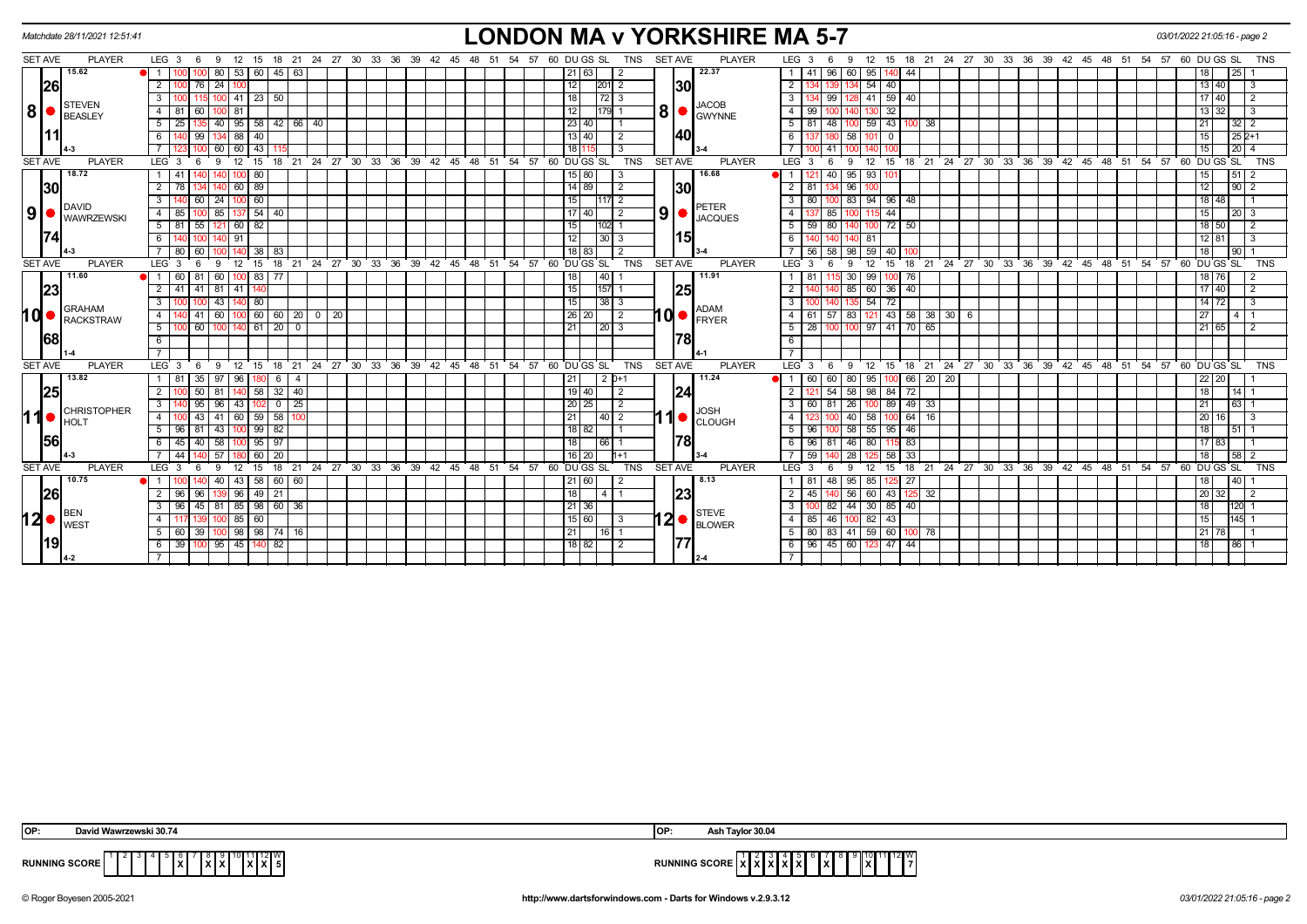|                | Matchdate 28/11/2021 12:51:41 |                                                                                                  | <b>LONDON MA v YORKSHIRE MA 5-7</b>                                                                                                                                                                 | 03/01/2022 21:05:16 - page 2                        |
|----------------|-------------------------------|--------------------------------------------------------------------------------------------------|-----------------------------------------------------------------------------------------------------------------------------------------------------------------------------------------------------|-----------------------------------------------------|
| SET AVE        | <b>PLAYER</b>                 | $LEG_3 6$<br>12<br>15<br>- 9                                                                     | <b>PLAYER</b><br>15 18 21 24 27 30 33 36 39 42 45 48 51 54 57<br>18 21 24 27 30 33 36 39 42 45 48 51 54 57 60 DU GS SL<br><b>TNS</b><br><b>SET AVE</b><br>LEG <sub>3</sub><br>12<br>9<br>-6         | 60 DU GS SL<br><b>TNS</b>                           |
|                | 15.62                         | 53 60 45 63<br>80                                                                                | 22.37<br>96 60<br>95<br>-41<br>-44<br>21 63                                                                                                                                                         | 25                                                  |
|                | 26                            | 24<br>$\overline{2}$<br>76                                                                       | 30<br>54<br>12<br>$\overline{2}$<br>40<br>201 2                                                                                                                                                     | 13 40<br>3                                          |
|                |                               | $141$ 23 50<br>100                                                                               | 8 41 59 40<br>18<br>3 <sup>1</sup><br>99 12                                                                                                                                                         | 17 40<br>$\overline{2}$                             |
| 8              | <b>STEVEN</b><br>BEASLEY      | 4<br>81<br>81                                                                                    | <b>JACOB</b><br> 8 <br>32<br>12<br> 179  1<br>4<br>99<br>GWYNNE                                                                                                                                     | $13 \overline{)32}$<br>-3                           |
|                |                               | 95   58   42   66   40<br>25 <sub>1</sub><br>40 I                                                | 23 40 <br>$5 \mid 81$<br>48 100 59<br>43 100<br>38                                                                                                                                                  | 21<br>$32$ 2                                        |
|                |                               | 99<br>88 I<br>40                                                                                 | 140<br>13   40<br>$\overline{2}$<br>6<br>58<br>$\mathbf 0$                                                                                                                                          | 15<br>$252+1$                                       |
|                |                               | $60$   43<br>60                                                                                  | 18 r<br>41<br>140                                                                                                                                                                                   | $20 \mid 4$<br>15                                   |
| <b>SET AVE</b> | <b>PLAYER</b>                 | 12<br>$21 \quad 24$<br>$27 \quad 30$<br>$33 \t36$<br>$39 \t 42$<br>LEG 3<br>9<br>15<br>18<br>- 6 | PLAYER<br>$45 \quad 48$<br>51<br>54<br>57<br>60 DU GS SL<br><b>TNS</b><br><b>SET AVE</b><br>LEG <sub>3</sub><br>12<br>15<br>$21 \quad 24 \quad 27 \quad 30 \quad 33$<br>36 39 42 45<br>9<br>18<br>6 | $48 \quad 51$<br>54.57<br>60 DU GS SL<br><b>TNS</b> |
|                | 18.72                         | 41<br>80                                                                                         | 16.68<br>40 95 93<br>15 80 <br>l 3                                                                                                                                                                  | 51                                                  |
|                | 30                            | $60$ 89                                                                                          | 30<br>14 89 <br>$\sqrt{2}$<br>$2 \mid 81$<br>96                                                                                                                                                     | 12<br>$90$ 2                                        |
|                | <b>DAVID</b>                  | 24<br>$100$ 60<br>3<br>60                                                                        | $3 \mid 80$<br>94<br>15<br>83<br>96 48<br> 117 2<br><b>PETER</b>                                                                                                                                    | 18 48                                               |
| 9 ●            | <b>WAWRZEWSKI</b>             | $137$ 54 40<br>85<br>-85 I<br>$\overline{4}$                                                     | $9$ $\bullet$<br>$\sqrt{2}$<br>44<br>17 40<br>4 I<br>85 100<br>115<br>137<br><b>JACQUES</b>                                                                                                         | $20 \overline{3}$<br>15                             |
|                |                               | 5<br>82<br>81<br>55<br>60 I                                                                      | $72 \mid 50$<br>15<br>$5 \mid 59$<br> 102  1<br>80 I                                                                                                                                                | $\overline{2}$<br>18 50                             |
|                |                               | 91                                                                                               | 15<br>12<br>6<br>0 81<br>13013                                                                                                                                                                      | $12 \mid 81$<br>  3                                 |
|                |                               | 38<br>60<br>83<br>80                                                                             | 59<br>18 83<br>40<br>56<br>58   98                                                                                                                                                                  | 90 <sub>1</sub>                                     |
| <b>SET AVE</b> | <b>PLAYER</b>                 | LEG <sub>3</sub><br>18<br>21<br>15                                                               | 24 27 30 33 36 39 42 45 48 51 54 57 60 DUGS SL<br>21 24 27 30 33 36 39 42 45 48 51 54 57<br><b>TNS</b><br><b>SET AVE</b><br><b>PLAYER</b><br>LEG <sup>3</sup><br>18<br>15                           | 60 DU GS SL<br><b>TNS</b>                           |
|                | 11.60                         | $100$ 83<br>60 81<br>60<br>77                                                                    | 18<br>  40  <br>11.91<br>30<br>99<br>l 76                                                                                                                                                           | 18   76<br>2                                        |
|                | 23                            | $\overline{2}$<br>41 41 81<br>$141$ 140                                                          | 25<br> 15 <br>$\overline{2}$<br>85 60<br>$36 \mid 40$<br>$157$ 1                                                                                                                                    | 17140<br>$\overline{2}$                             |
|                | <b>GRAHAM</b>                 | 43<br>80<br>3                                                                                    | 15<br> 38 3<br>54<br>72<br><b>ADAM</b>                                                                                                                                                              | $14$ 72<br>3                                        |
| hd∙            | RACKSTRAW                     | $100$ 60 60 20 0 20<br>60<br>$\overline{4}$<br>41                                                | 10 ● <br>$121$ 43 58 38 30 6<br> 26 20 <br>$\sqrt{2}$<br>$57$ 83<br>4   61<br><b>FRYER</b>                                                                                                          | 27<br>4   1                                         |
|                |                               | 0  61   20   0<br>5<br>00 60<br>100                                                              | 100 100 97 41 70 65<br>21<br>$\vert 20 \vert 3$<br>$5 \mid 28$                                                                                                                                      | 21 65<br>$\overline{2}$                             |
|                | 68                            | 6                                                                                                | 78 <br>$6\overline{6}$                                                                                                                                                                              |                                                     |
|                |                               |                                                                                                  |                                                                                                                                                                                                     |                                                     |
| <b>SET AVE</b> | <b>PLAYER</b>                 | 27 30 33<br>LEG <sub>3</sub><br>24<br>36<br>$39 \quad 42$<br>12<br>15<br>18<br>21<br>- 6<br>-9   | 60 DU GS SL<br><b>TNS</b><br><b>SET AVE</b><br><b>PLAYER</b><br>LEG 3<br>24 27 30 33 36 39 42 45 48 51 54 57<br>45 48 51<br>54<br>57<br>12<br>15<br>18 21<br>-9                                     | 60 DU GS SL<br><b>TNS</b>                           |
|                | 13.82                         | 35<br>97<br>96  <br>-81<br>-4<br>6                                                               | 11.24<br>60<br>60   80   95<br>100 66<br>20   20<br> 21 <br>2   0+1                                                                                                                                 | 22 20                                               |
|                | 25                            | $58$ 32 40<br>$\overline{2}$<br>50<br>81                                                         | 24 <br>98<br>84<br> 19 40 <br>$\overline{2}$<br>54<br>58 <sup>1</sup><br>72<br>l 2                                                                                                                  | 18<br>14                                            |
|                | <b>CHRISTOPHER</b>            | $\overline{3}$<br>$95$   96   43  <br>$102$ 0 25                                                 | 3   60   81   26   100   89   49   33<br>$\overline{2}$<br> 20 25 <br><b>JOSH</b>                                                                                                                   | 21<br>$63 \mid 1$                                   |
| 110            | HOLT                          | 60 59 58<br>43<br>41<br>$\overline{4}$                                                           | 40 2<br>$\mathbf 1$ $\bullet$<br>40<br>$-58$<br>64<br>21<br>16<br><b>CLOUGH</b>                                                                                                                     | 20<br>16                                            |
|                |                               | $96$ 81 43 100 99 82<br>5                                                                        | $100$ 58 55 95 46<br> 18 82 <br>l 1<br>5   96                                                                                                                                                       | 511<br>18                                           |
|                | 56                            | 58<br>$100$ 95   97<br>$45 \mid 40$<br>6                                                         | 78 <br>18<br>$6 \mid 96$<br>80<br>83<br> 66 1<br>81<br>  46                                                                                                                                         | $17$ 83                                             |
|                |                               | 57<br>$60$   20<br>44 I                                                                          | $7 \mid 59$<br>$58$ 33<br>16   20  <br>$h+1$<br>l 28                                                                                                                                                | $58 \mid 2$<br>18                                   |
| <b>SET AVE</b> | <b>PLAYER</b>                 | 18 21 24 27 30 33 36 39 42<br>LEG 3<br>12<br>15<br>- 6<br>9                                      | 60 DU GS SL<br>TNS<br><b>SET AVE</b><br><b>PLAYER</b><br>LEG <sub>3</sub><br>15<br>18 21 24 27 30 33 36 39 42 45 48<br>45<br>48 51 54<br>57<br>12<br>- 6<br>-9                                      | 60 DU GS SL<br>51 54 57<br><b>TNS</b>               |
|                | 10.75                         | 58<br>40<br>43  <br>60   60                                                                      | 8.13<br>21 60<br>1   81<br>48   95  <br>85<br>-27<br>-2                                                                                                                                             | 40                                                  |
|                | 26                            | $96$ 49 $21$<br>96<br>2<br>96                                                                    | 23<br> 18 <br>$2 \mid 45$<br>140 56 60<br>43 125 32<br>1411                                                                                                                                         | $20\overline{32}$<br>$\vert$ 2                      |
|                | BEN                           | 45   81   85   98   60   36<br>3<br>96 I                                                         | 82 44 30 85 40<br>$\overline{3}$<br> 21 36                                                                                                                                                          | 120 1                                               |
| 12∣●           | <b>I</b> WEST                 | 85 60                                                                                            | $ 2 $ $\bullet$ STEVE BLOWER<br>I 3<br>4   85 <br>46 100 82 43<br>15 60                                                                                                                             | 145 1                                               |
|                |                               | 98   98   74   16<br>5<br>60 39                                                                  | $5 \mid 80 \mid$<br>83 41 59 60<br>21<br>16 I 1<br>78                                                                                                                                               | $21$ 78                                             |
|                | 19                            | 39 100 95 45 140 82<br>-6                                                                        | 177<br>6   96   45   60   123   47   44  <br> 18 82 <br>l 2                                                                                                                                         | 18<br>$86$ 1                                        |
|                |                               |                                                                                                  |                                                                                                                                                                                                     |                                                     |

| IOP:                 | David Wawrzewski 30.74 | ЮI                   | r 30.04<br><b>Taulo</b>                   |
|----------------------|------------------------|----------------------|-------------------------------------------|
| <b>RUNNING SCORE</b> | . .                    | <b>RUNNING SCORE</b> | 12 W<br>$\mathbf{I}$<br>.<br>^ "<br>^ * ^ |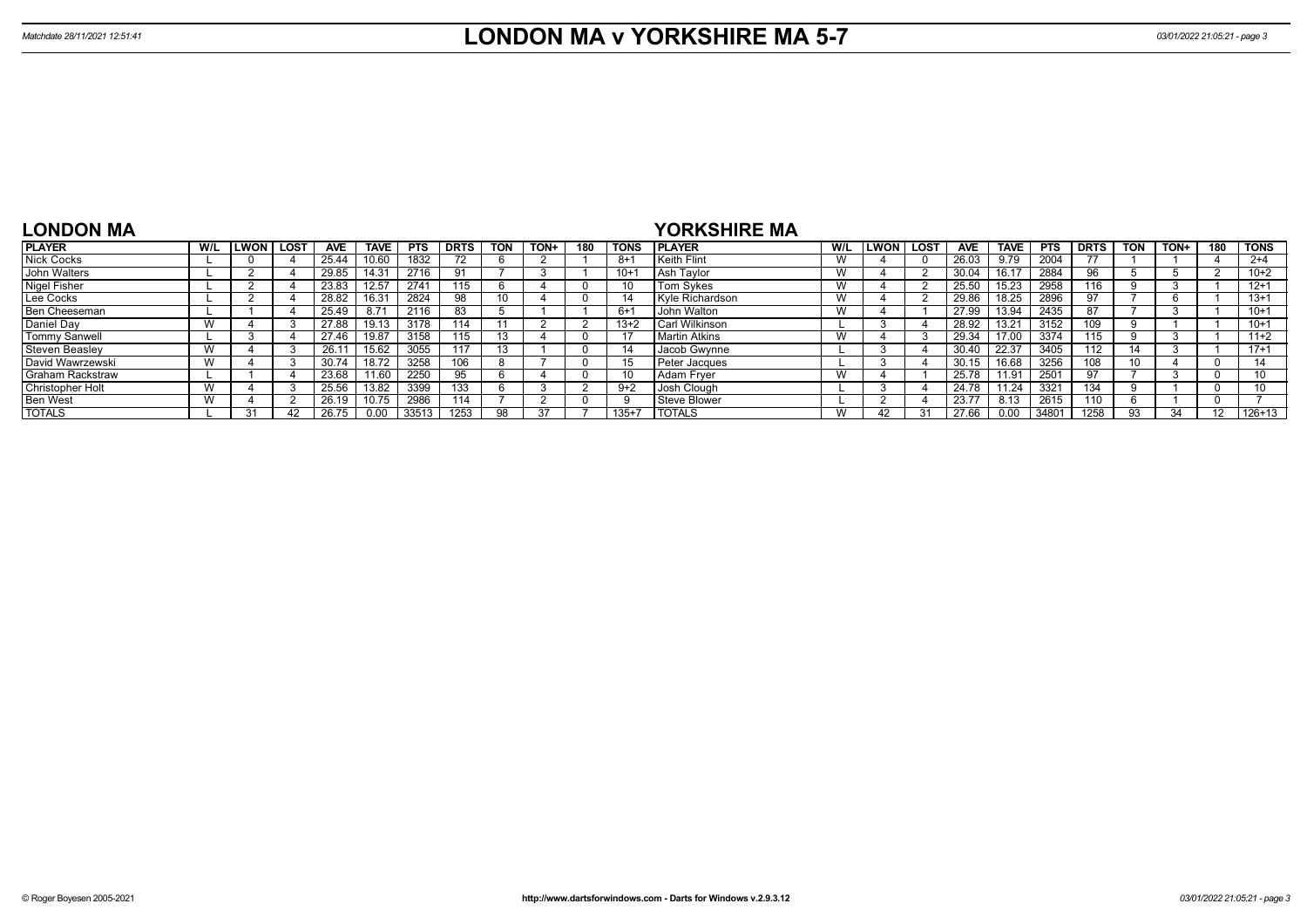| <b>LONDON MA</b>        |     |             |             |            |             |            |             |                |        |     |         | <b>YORKSHIRE MA</b>  |                   |             |             |            |             |            |             |            |      |     |                 |
|-------------------------|-----|-------------|-------------|------------|-------------|------------|-------------|----------------|--------|-----|---------|----------------------|-------------------|-------------|-------------|------------|-------------|------------|-------------|------------|------|-----|-----------------|
| <b>PLAYER</b>           | W/L | <b>LWON</b> | <b>LOST</b> | <b>AVE</b> | <b>TAVE</b> | <b>PTS</b> | <b>DRTS</b> | <b>TON</b>     | TON+   | 180 | TONS    | <b>IPLAYER</b>       | W/L               | <b>LWON</b> | <b>LOST</b> | <b>AVE</b> | <b>TAVE</b> | <b>PTS</b> | <b>DRTS</b> | <b>TON</b> | TON+ | 180 | <b>TONS</b>     |
| <b>Nick Cocks</b>       |     |             |             | 25.44      | 10.60       | 1832       |             |                |        |     | $8 + 1$ | Keith Flint          | v v               |             |             | 26.03      | 9.79        | 2004       |             |            |      |     | $2+4$           |
| John Walters            |     |             |             | 29.85      | 14.31       | 2716       |             |                |        |     | $10 +$  | Ash Tavlor           |                   |             |             | 30.04      | 16.17       | 2884       | 96          |            |      |     | $10+2$          |
| <b>Nigel Fisher</b>     |     |             |             | 23.83      | 12.57       | 2741       | 115         |                |        |     |         | Tom Sykes            |                   |             |             | 25.50      | 15.23       | 2958       | 116         |            |      |     | $12+1$          |
| Lee Cocks               |     |             |             | 28.82      | 16.31       | 2824       | 98          | 10             |        |     |         | Kyle Richardson      | V V               |             |             | 29.86      | 18.25       | 2896       |             |            |      |     | $13+1$          |
| Ben Cheeseman           |     |             |             | 25.49      | 8.71        | 2116       |             |                |        |     | $6 + 1$ | John Walton          |                   |             |             | 27.99      | 13.94       | 2435       |             |            |      |     | $10+1$          |
| Daniel Day              | W   |             |             | 27.88      | 19.13       | 3178       | 114         |                |        |     | $13+2$  | Carl Wilkinson       |                   |             |             | 28.92      | 13.21       | 3152       | 109         |            |      |     | $10+1$          |
| <b>Tommy Sanwell</b>    |     |             |             | 27.46      | 19.87       | 3158       | 115         |                |        |     |         | <b>Martin Atkins</b> | <b>18</b><br>v v  |             |             | 29.34      | 17.00       | 3374       | 115         |            |      |     | $11+2$          |
| <b>Steven Beaslev</b>   | W   |             |             | 26.11      | 15.62       | 3055       |             | $\overline{a}$ |        |     |         | <b>Jacob Gwynne</b>  |                   |             |             | 30.40      | 22.37       | 3405       | 112         | 14         |      |     | $17 + 1$        |
| David Wawrzewski        |     |             |             | 30.74      | 18.72       | 3258       | 106         |                |        |     |         | Peter Jacques        |                   |             |             | 30.15      | 16.68       | 3256       | 108         | 10         |      |     |                 |
| <b>Graham Rackstraw</b> |     |             |             | 23.68      | 11.60       | 2250       |             |                |        |     | 10      | Adam Frver           | <b>185</b><br>v v |             |             | 25.78      | 11.91       | 2501       |             |            |      |     | 10 <sup>1</sup> |
| <b>Christopher Holt</b> |     |             |             | 25.56      | 13.82       | 3399       | 133         |                |        |     | $9+2$   | Josh Clough          |                   |             |             | 24.78      | 11.24       | 3321       | 134         |            |      |     |                 |
| <b>Ben West</b>         | W   |             |             | 26.19      | 10.75       | 2986       |             |                | $\sim$ |     |         | Steve Blower         |                   |             |             | 23.77      | 8.13        | 2615       | 110         |            |      |     |                 |
| <b>TOTALS</b>           |     | 31          |             | 26.75      | 0.00        | 33513      | 1253        | <b>QR</b>      |        |     | $135+7$ | <b>I TOTALS</b>      | $\mathbf{M}$      |             | 21          | 27.66      | 0.00        | 3480'      | 1258        | 93         | 31   |     | $126+13$        |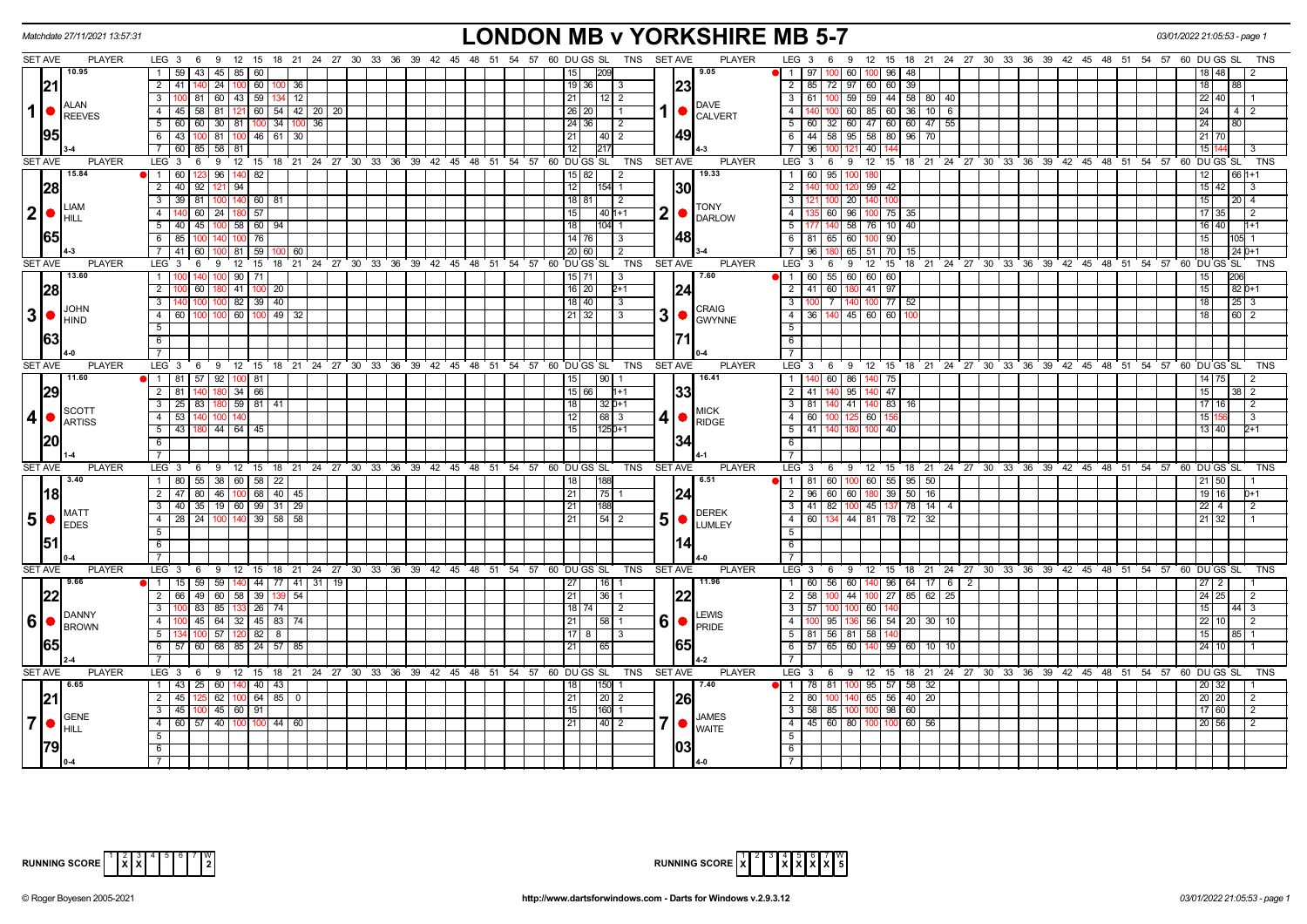|                   | Matchdate 27/11/2021 13:57:31                                       |                                                                                    | <b>LONDON MB v YORKSHIRE MB 5-7</b>                                                                                                                                                                | 03/01/2022 21:05:53 - page 1       |
|-------------------|---------------------------------------------------------------------|------------------------------------------------------------------------------------|----------------------------------------------------------------------------------------------------------------------------------------------------------------------------------------------------|------------------------------------|
|                   | <b>SET AVE</b><br><b>PLAYER</b>                                     | LEG 3 6 9 12 15 18 21 24 27 30 33 36 39 42 45 48 51 54 57 60 DUGS SL               | TNS SET AVE<br><b>PLAYER</b><br>LEG 3 6 9 12 15 18 21 24 27 30 33 36 39 42 45 48 51 54 57 60 DUGS SL                                                                                               | TNS                                |
|                   | 10.95                                                               | 59 43 45 85 60<br>$\mathbf{1}$                                                     | 9.05<br>$\blacksquare$ 1   97  <br>1209<br>60 I<br>100 96<br>48                                                                                                                                    |                                    |
|                   | 21                                                                  | 2 41 40 24 100 60 100 36                                                           | 23 <br>2   85   72   97   60   60   39<br> 19 36 <br>- 3                                                                                                                                           | 18<br>88                           |
|                   |                                                                     | 100 81 60 43 59<br>$\overline{3}$<br>$134$ 12                                      | $3   61   100   59   59   44   58   80   40$<br> 21 <br>  12   2                                                                                                                                   | 22 40                              |
|                   | <b>I</b> ALAN<br>$1$ $\bullet$ $\int_{\text{REEVES}}^{\text{ALAN}}$ | $\overline{4}$<br>45 58 81<br>$121 \mid 60 \mid 54 \mid 42 \mid 20$<br>20          | <b>DAVE</b><br>$\overline{4}$<br>60 85 60 36 10<br>6<br>  26   20  <br>l 1<br><b>CALVERT</b>                                                                                                       | 24<br>4   2                        |
|                   |                                                                     | 5<br>60 60 30 81 100 34 100 36                                                     | $5   60   32   60   47   60   60   47   55$<br>  24   36  <br>l 2                                                                                                                                  | 24<br>80                           |
|                   | 1951                                                                | $6$   43   100   81   100   46   61  <br>30                                        | 49 <br>6 44 58 95 58 80 96 70<br> 21 <br> 40  2                                                                                                                                                    | 21 70                              |
|                   |                                                                     | 7 60 85 58 81                                                                      | 7 96 100<br>40<br>217                                                                                                                                                                              | 15                                 |
| <b>SET AVE</b>    | <b>PLAYER</b>                                                       | LEG 3<br>6 9 12 15 18 21 24 27 30 33 36 39 42 45 48 51 54 57 60 DUGS SL            | <b>SET AVE</b><br><b>PLAYER</b><br>LEG <sup>3</sup><br>9 12 15 18 21 24 27 30 33 36 39 42 45 48 51 54 57 60 DUGS SL<br>TNS<br>6                                                                    | TNS                                |
|                   | 15.84                                                               | 1 60 123<br>96 140 82                                                              | 19.33<br>15 82<br>1 60 95 100<br>  2<br>180                                                                                                                                                        | 12 <sub>1</sub><br>66 1+1          |
|                   | 28                                                                  | $\overline{2}$<br>$92$   12<br>40<br>94                                            | 12 <br>$154$ 1<br> 30 <br>$\overline{2}$<br>99 42                                                                                                                                                  | $15 \overline{\smash{)}\ 42}$<br>3 |
|                   |                                                                     | 100 140 60 81<br>3 <sup>7</sup><br>39 81                                           | 18 81<br>$3 \mid$<br>$\vert$ 2<br>20 <sub>1</sub><br>140<br>100<br>100                                                                                                                             | 15<br>$20 \mid 4$                  |
| 2 ●               | <b>LIAM</b>                                                         | 60 24 180 57<br>$\overline{4}$                                                     | <b>TONY</b><br>$2$ $\bullet$ $\frac{10N}{\text{DARLOW}}$<br>l 15 l<br>  40   1+1<br>4 I<br>60   96   100   75   35                                                                                 | 17 35<br>$\overline{2}$            |
|                   | Ihill                                                               | 5   40   45   100   58   60   94                                                   | $58$ 76 10 40<br> 18 <br>104 1<br>51<br>140                                                                                                                                                        | 16 40<br>$1+1$                     |
|                   | 65I                                                                 | 6<br>$100$ 76<br>85                                                                | 48 <br>14 76 <br>6 81 65 60 100<br>90<br>-3                                                                                                                                                        | 15<br>05 1                         |
|                   |                                                                     | 41 60 100<br>81 59<br>7 I<br>60                                                    | 20 60<br>7 96 180<br>65 51 70 15<br>l 2                                                                                                                                                            | 18<br>$1240+1$                     |
| <b>SET AVE</b>    | <b>PLAYER</b>                                                       | 12<br>$^{\circ}$ 15<br>LEG 3<br>6<br>9                                             | 18 21 24 27 30 33 36 39 42 45 48 51 54 57 60 DUGS SL<br>TNS<br><b>SET AVE</b><br><b>PLAYER</b><br>LEG 3<br>$\overline{12}$<br>15<br>18 21 24 27 30 33 36 39 42 45 48 51 54 57 60 DUGS SL<br>6<br>9 | <b>TNS</b>                         |
|                   | 13.60                                                               | 1<br>90   71                                                                       | 7.60<br>$15 \mid 71$<br>$1 \t60 \t55 \t60 \t60 \t60$<br>$\vert$ 3                                                                                                                                  | 206                                |
|                   | 28                                                                  | $\overline{2}$<br>$41$ 100 20<br>60 I                                              | 24<br>16 20 <br>2 41 60 180 41 97<br>$2+1$                                                                                                                                                         | 15<br>82 0+1                       |
|                   |                                                                     | 82 39 40<br>$\overline{3}$                                                         | $\overline{3}$<br>$18$ 40<br>$\sqrt{3}$<br>$\overline{7}$<br>100 77<br>52                                                                                                                          | 18                                 |
| 3 •               | <b>JOHN</b>                                                         | 49<br>$\overline{4}$<br>60 l<br>ഹ                                                  | <b>CRAIG</b><br>$\overline{4}$<br>$45 \ 60$<br>60<br>  21   32<br>3<br>36                                                                                                                          | 18<br>60 2                         |
|                   | IHIND                                                               | $5\overline{)}$                                                                    | $3$ $\bullet$ $\frac{C_{\text{NNNSE}}}{C_{\text{WYNNE}}}$<br>$5\overline{)}$                                                                                                                       |                                    |
|                   | 1631                                                                | 6                                                                                  | $6\overline{6}$                                                                                                                                                                                    |                                    |
|                   |                                                                     | $\overline{7}$                                                                     | $\overline{7}$                                                                                                                                                                                     |                                    |
|                   | <b>SET AVE</b><br><b>PLAYER</b>                                     | LEG <sub>3</sub><br>12 15<br>- 6<br>- 9                                            | <b>PLAYER</b><br>18 21 24 27 30 33 36 39 42 45 48 51 54 57 60 DUGS SL<br>TNS<br><b>SET AVE</b><br>LEG <sub>3</sub><br>- 9<br>12 15 18 21 24 27 30 33 36 39 42 45 48 51 54 57 60 DUGS SL<br>- 6     | TNS                                |
|                   | 11.60                                                               | 1   81   57   92   100  <br>-81                                                    | 16.41<br>90 <sub>l</sub><br>- 1 - I<br>60 I<br>86<br>75<br>15 <sup>1</sup>                                                                                                                         |                                    |
|                   | 29                                                                  | 2 81 140<br>$180$ 34 66                                                            | 33 <br>2 41 40 95 140<br>47<br>15 66<br>$11+1$                                                                                                                                                     | 15<br>$\overline{2}$               |
|                   |                                                                     | 59   81   41<br>$\overline{3}$<br>$25 \mid 83 \mid$                                | 140 83<br> 18 <br>$32D+1$<br>$3 \mid 81$<br>41                                                                                                                                                     | 17<br>2<br>16                      |
| 4                 | <b>I</b> scott                                                      | $\overline{4}$<br>-53  <br>140<br>100                                              | <b>MICK</b><br>$\overline{112}$<br>68 3<br>$4 \overline{60}$<br>60<br>100 125                                                                                                                      | 15 <sup>1</sup><br>-3              |
|                   | ARTISS                                                              | 43 180 44 64 45<br>5                                                               | 41 <sup>(</sup><br>$\blacksquare$ RIDGE<br>$\overline{15}$<br>$125D+1$<br>5 41 140 180<br>40                                                                                                       | 13 40<br>$2+1$                     |
|                   | 20                                                                  | 6                                                                                  | 34<br>$6$                                                                                                                                                                                          |                                    |
|                   |                                                                     | $\overline{7}$                                                                     | $\overline{7}$                                                                                                                                                                                     |                                    |
| <b>SET AVE</b>    | <b>PLAYER</b>                                                       | LEG <sub>3</sub><br>6 9 12 15 18 21 24 27 30 33 36 39 42 45 48 51 54 57 60 DUGS SL | <b>TNS</b><br><b>SET AVE</b><br><b>PLAYER</b><br>LEG <sub>3</sub><br>9 12 15 18 21 24 27 30 33 36 39 42 45 48 51 54 57 60 DUGS SL<br>6                                                             | TNS                                |
|                   | 3.40                                                                | 1   80   55   38   60   58   22                                                    | 6.51<br>$\bullet$   1   81   60   100   60   55   95   50<br>188<br>18 <sup>1</sup>                                                                                                                |                                    |
|                   |                                                                     | 47 80 46 100 68 40 45<br>$\overline{2}$                                            | 21 <br> 75 1<br>2   96   60   60   180   39  <br>$50$ 16                                                                                                                                           | 21 50<br>19 16<br>$D+1$            |
|                   | <u> 18 </u>                                                         | 40 35 19 60 99 31 29<br>$\overline{3}$                                             | 24<br>3 41 82 100 45 137 78 14<br> 21 <br>188<br>4                                                                                                                                                 | $22 \mid 4$<br>-2                  |
| $5\bullet$        | <b>MATT</b>                                                         | 28 24 100 140 39 58 58<br>$\overline{4}$                                           | <b>DEREK</b><br>4 60 134 44 81 78 72 32<br> 54 2<br> 21                                                                                                                                            | 21   32                            |
|                   | <b>EDES</b>                                                         | 5                                                                                  | $50$ $\sim$ $\sim$<br>5                                                                                                                                                                            |                                    |
|                   | 151                                                                 | 6                                                                                  | 6                                                                                                                                                                                                  |                                    |
|                   |                                                                     | $\overline{7}$                                                                     | $\overline{7}$                                                                                                                                                                                     |                                    |
|                   | <b>PLAYER</b>                                                       | 9 12 15 18 21 24 27 30 33 36 39 42 45 48 51 54 57 60 DUGSSL<br>LEG <sub>3</sub>    | 6 9 12 15 18 21 24 27 30 33 36 39 42 45 48 51 54 57 60 DUGSSL<br><b>SET AVE</b><br><b>PLAYER</b>                                                                                                   | TNS                                |
|                   | <b>SET AVE</b><br>9.66                                              | 6                                                                                  | TNS<br>LEG 3<br>11.96                                                                                                                                                                              |                                    |
|                   |                                                                     | 1   15   59   59   140   44   77   41   31   19                                    | 1 60 56 60 140 96 64 17 6 2<br> 27 <br>$16$ 1                                                                                                                                                      | $27$ 2                             |
|                   | 22                                                                  | 2 66 49 60 58 39<br>54<br>139                                                      | 22 <br>$2 \mid 58 \mid$<br>44 100 27 85 62<br>25<br> 21 <br>$36$   1<br>100                                                                                                                        | 24 25<br>2                         |
|                   | DANNY                                                               | 3 100 83 85 133 26 74                                                              | $18$ 74<br>3 57 100 100 60 140<br>l 2<br>LEWIS                                                                                                                                                     | 15<br>$ 44 $ 3                     |
|                   |                                                                     | $\overline{4}$<br>45 64 32 45 83<br>74                                             | $60$ $F$ $F$ $F$ $F$<br>4 I<br>136 56 54 20 30<br> 21 <br>58<br>95<br>10                                                                                                                           | 22<br>$\overline{2}$<br>10         |
|                   |                                                                     | 57<br>5 <sup>5</sup><br>82<br>8<br>120                                             | $5$   81   56   81   58<br>$17$ 8<br>140<br>165                                                                                                                                                    | 15<br>$85 \mid 1$                  |
|                   | 1651                                                                | $57$ 60 68<br>57<br>6<br>85 24<br>85                                               | 57   65  <br>99<br>21<br>6 I<br>60<br>140<br>60 10<br>10<br>65                                                                                                                                     | 24<br>10 <sub>l</sub>              |
|                   |                                                                     | $\overline{7}$                                                                     | 7                                                                                                                                                                                                  |                                    |
|                   | <b>SET AVE</b><br><b>PLAYER</b>                                     | LEG 3 6 9 12 15 18 21 24 27 30 33 36 39 42 45 48 51 54 57 60 DUGS SL               | <b>PLAYER</b><br>TNS<br><b>SET AVE</b><br>LEG 3<br>6 9 12 15 18 21 24 27 30 33 36 39 42 45 48 51 54 57 60 DUGS SL                                                                                  | TNS                                |
|                   | $\sqrt{6.65}$                                                       | 1 43 25 60 140 40 43                                                               | 7.40<br>178 81<br>100 95 57<br>150<br>58 32                                                                                                                                                        | 20 32                              |
|                   |                                                                     | $\overline{2}$<br>$125$ 62 100 64 85 0<br>45                                       | 26 <br>$65$ 56 40 20<br>$\sqrt{20}$ 2<br>$\overline{2}$<br>80 100 140<br> 21                                                                                                                       | 20 20<br>2                         |
|                   | <b>GENE</b>                                                         | $\overline{3}$<br>100 45 60 91<br>45                                               | 160 1<br>3   58   85   100   100   98  <br> 15 <br>60<br><b>JAMES</b>                                                                                                                              | 17 60<br>2                         |
| $\vert$ 7 $\vert$ | Ihill                                                               | 60 57 40 100 100 44 60<br>$\overline{4}$                                           | 4   45   60   80   100 100<br>$\vert 40 \vert 2$<br> 21 <br>60 56<br><b>WAITE</b>                                                                                                                  | 20 56<br>$\mathcal{P}$             |
|                   |                                                                     | 5                                                                                  | 5                                                                                                                                                                                                  |                                    |
|                   |                                                                     | 6                                                                                  | 6                                                                                                                                                                                                  |                                    |
|                   |                                                                     | $\overline{7}$                                                                     |                                                                                                                                                                                                    |                                    |



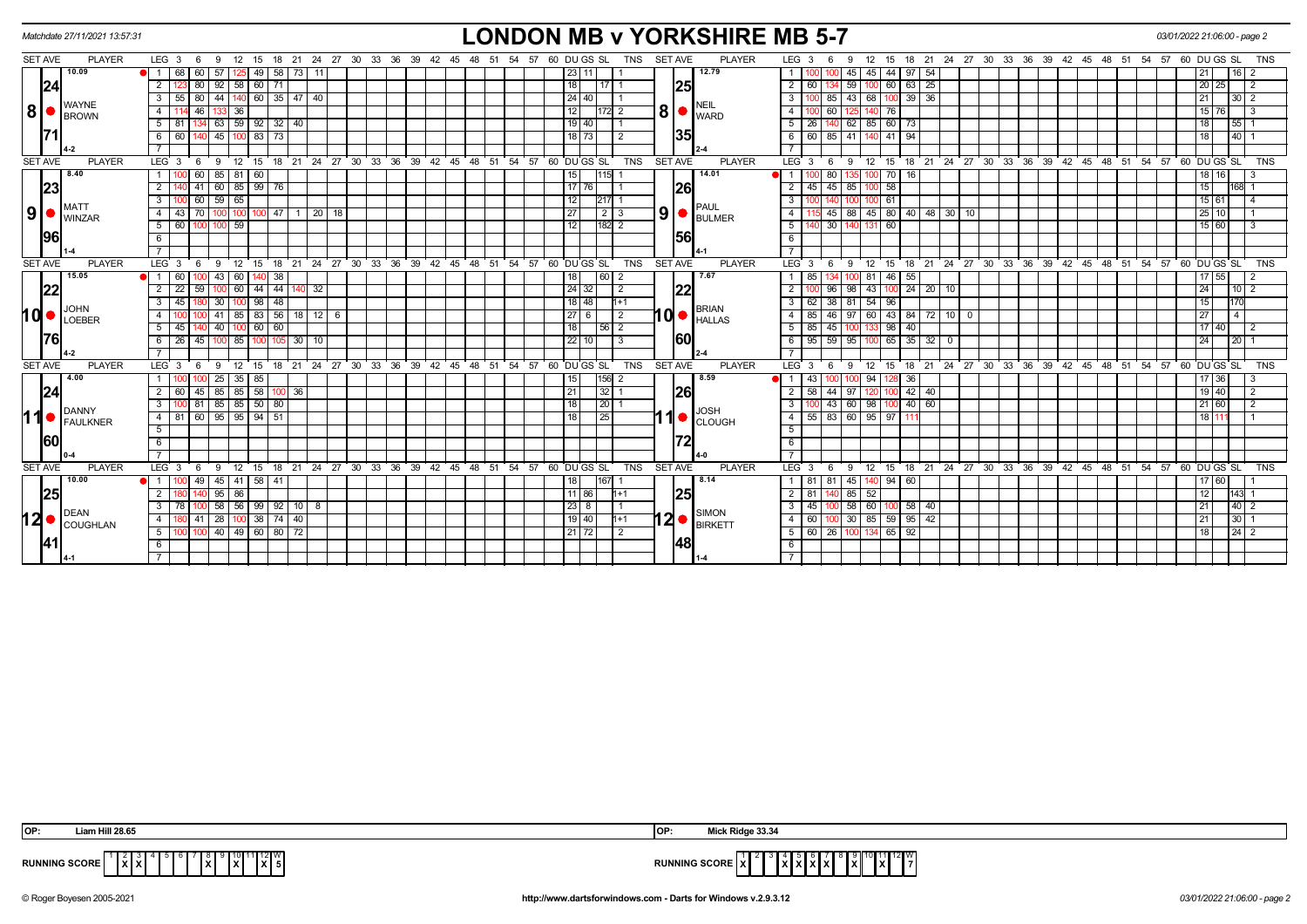|                | Matchdate 27/11/2021 13:57:31 |                                                |                         |                       |                                                               |          |       |                  |                 |                                |                | <b>LONDON MB v YORKSHIRE MB 5-7</b>                                                                                                                                                                                                                                                                                                                                                                                          | 03/01/2022 21:06:00 - page 2                                                                                                     |  |
|----------------|-------------------------------|------------------------------------------------|-------------------------|-----------------------|---------------------------------------------------------------|----------|-------|------------------|-----------------|--------------------------------|----------------|------------------------------------------------------------------------------------------------------------------------------------------------------------------------------------------------------------------------------------------------------------------------------------------------------------------------------------------------------------------------------------------------------------------------------|----------------------------------------------------------------------------------------------------------------------------------|--|
| SET AVE        | <b>PLAYER</b>                 | LEG <sub>3</sub><br>12<br>- 9<br>- 6           | 18 21<br>15             |                       | 24  27  30  33  36  39  42  45  48  51  54  57  60  DU GS  SL |          |       |                  |                 | TNS                            | <b>SET AVE</b> | <b>PLAYER</b>                                                                                                                                                                                                                                                                                                                                                                                                                | LEG <sub>3</sub><br>15 18 21 24 27 30 33 36 39 42 45 48 51 54 57 60 DUGS SL<br><b>TNS</b><br>12<br>-6<br>9                       |  |
|                | 10.09                         | 68 I<br>60 I<br>57<br>$\overline{1}$           | 49                      | 58 73 11              |                                                               |          |       |                  |                 | 23   11                        |                | 12.79                                                                                                                                                                                                                                                                                                                                                                                                                        | 44 97 54<br>45  <br>45<br>16                                                                                                     |  |
|                | 24                            | 92<br>$\overline{2}$<br>80<br>58               | 60<br>71                |                       |                                                               |          |       |                  |                 | 18                             | 25             |                                                                                                                                                                                                                                                                                                                                                                                                                              | $\overline{2}$<br>59<br>60<br>63<br>25<br>60<br>20<br>25<br>2                                                                    |  |
|                |                               | 80<br>55<br>44<br>3                            | $140$ 60 35 47 40       |                       |                                                               |          |       |                  |                 | 24 40                          |                |                                                                                                                                                                                                                                                                                                                                                                                                                              | 43 68 100 39 36<br>3 I<br>85<br>21<br>$30 \mid 2$                                                                                |  |
| 8 ●            | <b>WAYNE</b><br><b>BROWN</b>  | $\overline{4}$<br>46<br>36                     |                         |                       |                                                               |          |       |                  | 12              | 172 2                          |                | <b>NEIL</b><br>$\vert 8 \vert$ $\bullet$ $\vert_{\text{WARD}}^{\text{min}}$                                                                                                                                                                                                                                                                                                                                                  | 60<br>4 I<br>76<br>15 <sup>1</sup><br>76<br>-3                                                                                   |  |
|                |                               | $5 \ 81$                                       | 134 63 59 92 32 40      |                       |                                                               |          |       |                  |                 | $19$ 40                        |                |                                                                                                                                                                                                                                                                                                                                                                                                                              | 62 85 60 73<br>5   26<br>18<br>140<br>55 I                                                                                       |  |
|                |                               | 45<br>6<br>60                                  | 73<br>83                |                       |                                                               |          |       |                  |                 | 18173<br>$\overline{2}$        | 35             |                                                                                                                                                                                                                                                                                                                                                                                                                              | 6   60<br>85<br>41<br>41<br>94<br>40<br>18                                                                                       |  |
|                |                               |                                                |                         |                       |                                                               |          |       |                  |                 |                                |                |                                                                                                                                                                                                                                                                                                                                                                                                                              |                                                                                                                                  |  |
| <b>SET AVE</b> | <b>PLAYER</b>                 | 12<br>LEG <sub>3</sub><br>9<br>- 6             | $^{\circ}$ 15           |                       | 18 21 24 27 30 33 36 39 42 45 48 51 54 57 60 DUGS SL          |          |       |                  |                 | <b>TNS</b>                     | <b>SET AVE</b> | <b>PLAYER</b>                                                                                                                                                                                                                                                                                                                                                                                                                | 18 21 24 27 30 33 36 39 42 45 48 51 54 57 60 DUGS SL<br>LEG <sup>3</sup><br>12<br>15<br><b>TNS</b><br>6<br>9                     |  |
|                | 8.40                          | 85<br>$\overline{1}$<br>60<br>81               | 60                      |                       |                                                               |          |       |                  |                 | 15<br>115 1                    |                | 14.01                                                                                                                                                                                                                                                                                                                                                                                                                        | $\overline{1}$<br>80<br>$70$ 16<br>18 16<br>3                                                                                    |  |
|                | 23                            | $\overline{2}$<br>60<br>41                     | 85 99 76                |                       |                                                               |          |       |                  |                 | $17$ 76                        | 26             |                                                                                                                                                                                                                                                                                                                                                                                                                              | 58<br>2<br>45<br>85<br>15<br>45<br>168                                                                                           |  |
|                |                               | 59<br>$\overline{3}$<br>60<br>65               |                         |                       |                                                               |          |       |                  |                 | 12<br>217                      |                |                                                                                                                                                                                                                                                                                                                                                                                                                              | 61<br>15 61<br>$3^{\circ}$                                                                                                       |  |
| 9              | <b>MATT</b><br><b>WINZAR</b>  | 70 I<br>$\overline{4}$<br>-43<br>100           | 47<br>1001100           | $\overline{20}$<br>18 |                                                               |          |       |                  | 27              |                                |                | <b>PAUL</b><br>$9$ $\bullet$ $\bullet$ $\bullet$ $\bullet$ $\bullet$ $\bullet$                                                                                                                                                                                                                                                                                                                                               | 88 45 80 40 48 30 10<br>$25 \mid 10$<br>45<br>4 I                                                                                |  |
|                |                               | 5<br>59<br>60                                  |                         |                       |                                                               |          |       |                  |                 | 12<br>182 2                    |                |                                                                                                                                                                                                                                                                                                                                                                                                                              | 30<br>60<br>15 60<br>5 <sup>1</sup><br>3                                                                                         |  |
|                | 1961                          | 6                                              |                         |                       |                                                               |          |       |                  |                 |                                | <b>156</b>     |                                                                                                                                                                                                                                                                                                                                                                                                                              | 6                                                                                                                                |  |
|                |                               |                                                |                         |                       |                                                               |          |       |                  |                 |                                |                |                                                                                                                                                                                                                                                                                                                                                                                                                              | $\overline{7}$                                                                                                                   |  |
| <b>SET AVE</b> | <b>PLAYER</b>                 | LEG <sub>3</sub><br>$^{\circ}$ 12<br>9<br>- 6  | $^{\circ}$ 15           |                       | 18 21 24 27 30 33 36 39 42 45 48 51 54 57 60 DUGS SL          |          |       |                  |                 | <b>TNS</b>                     | <b>SET AVE</b> | <b>PLAYER</b>                                                                                                                                                                                                                                                                                                                                                                                                                | 18 21 24 27 30 33 36 39 42 45 48 51 54 57 60 DUGS SL<br>LEG <sup>'</sup> 3<br>15<br><b>TNS</b><br><b>9</b><br>$^{\circ}$ 12<br>6 |  |
|                | 15.05                         | 43<br>$\overline{1}$<br>60<br>60               | 38                      |                       |                                                               |          |       |                  | 18              | 60 2                           |                | 7.67                                                                                                                                                                                                                                                                                                                                                                                                                         | 85<br>46<br>55<br>81<br>55                                                                                                       |  |
|                | 22                            | $\overline{2}$<br>$\overline{22}$<br>59<br>100 | 60   44                 | 44   140   32         |                                                               |          |       |                  |                 | 24 32 <br>$\sqrt{2}$           | 22             |                                                                                                                                                                                                                                                                                                                                                                                                                              | 96<br>  98   43   100   24   20   10<br>$\overline{2}$<br>24<br>$\sqrt{10}$ 2                                                    |  |
|                | <b>JOHN</b>                   | 30<br>3<br>45                                  | 48<br>98                |                       |                                                               |          |       |                  |                 | $18$ 48<br>$h+1$               |                | <b>BRIAN</b>                                                                                                                                                                                                                                                                                                                                                                                                                 | 38<br>81 54<br>96<br>15<br>3 I<br>62                                                                                             |  |
| 10 ●           | LOEBER                        | $\overline{4}$<br>41                           | $85 \mid 83 \mid$       | $56$ 18 12<br>6       |                                                               |          |       |                  |                 | $27$   6<br>2                  |                | $10$ $\bullet$ $\overline{ }$ $\overline{ }$ $\overline{ }$ $\overline{ }$ $\overline{ }$ $\overline{ }$ $\overline{ }$ $\overline{ }$ $\overline{ }$ $\overline{ }$ $\overline{ }$ $\overline{ }$ $\overline{ }$ $\overline{ }$ $\overline{ }$ $\overline{ }$ $\overline{ }$ $\overline{ }$ $\overline{ }$ $\overline{ }$ $\overline{ }$ $\overline{ }$ $\overline{ }$ $\overline{ }$ $\overline{ }$ $\overline{ }$ $\over$ | $97$ 60 43 84 72 10<br>85<br>46<br>27<br>4 I<br>$\overline{4}$<br>0                                                              |  |
|                |                               | 5<br>45<br>40                                  | 60<br>$100$ 60          |                       |                                                               |          |       |                  |                 | 18<br> 56 2                    |                |                                                                                                                                                                                                                                                                                                                                                                                                                              | 98 40<br>$5 \mid 85$<br>45<br>17<br>40                                                                                           |  |
|                | 1761                          | 26<br>45<br>6                                  | 85 100<br>105           | 30   10               |                                                               |          |       |                  |                 | $22$ 10<br>-3                  | 60             |                                                                                                                                                                                                                                                                                                                                                                                                                              | 59<br>65<br>6 95<br> 95 <br>$35 \mid 32 \mid$<br>24<br> 20 <br>$\Omega$<br>IOO                                                   |  |
|                |                               |                                                |                         |                       |                                                               |          |       |                  |                 |                                |                |                                                                                                                                                                                                                                                                                                                                                                                                                              |                                                                                                                                  |  |
| <b>SET AVE</b> | <b>PLAYER</b>                 | LEG <sub>3</sub><br>12<br>9<br>-6              | 15<br>18                |                       | 21 24 27 30 33 36 39 42 45                                    |          | 48 51 |                  |                 | 54 57 60 DUGS SL<br><b>TNS</b> | <b>SET AVE</b> | <b>PLAYER</b>                                                                                                                                                                                                                                                                                                                                                                                                                | $LEG^3$ 3<br>24 27 30 33 36 39 42 45 48 51 54 57 60 DUGS SL<br>12<br>15<br>18<br>$^{\circ}$ 21<br><b>TNS</b><br>9<br>6           |  |
|                | 4.00                          | 25                                             | 35   85                 |                       |                                                               |          |       |                  |                 | 156 2<br>15 <sup>1</sup>       |                | 8.59                                                                                                                                                                                                                                                                                                                                                                                                                         | 94<br>36<br>17 36<br>43<br>-3                                                                                                    |  |
|                | 24                            | 85<br>45<br>2<br>-60                           | 85 58<br>100            | 36                    |                                                               |          |       |                  | $\overline{21}$ | 32 1                           | 26             |                                                                                                                                                                                                                                                                                                                                                                                                                              | 44<br>$42 \mid 40$<br>19 40<br>$2 \mid 58$<br>  97  <br>2                                                                        |  |
|                | DANNY                         | $81185$ 85 50 80<br>$\overline{3}$             |                         |                       |                                                               |          |       |                  |                 | 18<br> 20 1                    |                | <b>JOSH</b>                                                                                                                                                                                                                                                                                                                                                                                                                  | $100$ 43 60 98 100 40 60<br>3 <sup>1</sup><br>21   60<br>$\overline{2}$                                                          |  |
| 11             | FAULKNER                      | $60 \mid 95$<br>4 81                           | $95 \mid 94 \mid$<br>51 |                       |                                                               |          |       |                  | 18              | $\overline{25}$                |                | $\left  \bullet \right $ CLOUGH                                                                                                                                                                                                                                                                                                                                                                                              | 83 60 95<br>$4 \mid 55$<br>97<br>18 I                                                                                            |  |
|                |                               | 5                                              |                         |                       |                                                               |          |       |                  |                 |                                |                |                                                                                                                                                                                                                                                                                                                                                                                                                              | 5 <sup>1</sup>                                                                                                                   |  |
|                | <b>60</b>                     | 6                                              |                         |                       |                                                               |          |       |                  |                 |                                | 72             |                                                                                                                                                                                                                                                                                                                                                                                                                              | 6                                                                                                                                |  |
|                |                               | $\overline{7}$                                 |                         |                       |                                                               |          |       |                  |                 |                                |                |                                                                                                                                                                                                                                                                                                                                                                                                                              |                                                                                                                                  |  |
| <b>SET AVE</b> | <b>PLAYER</b>                 | LEG <sub>3</sub><br>12<br>- 9<br>- 6           | 15                      |                       | 18 21 24 27 30 33 36                                          | 39 42 45 | 48    | 51<br>- 54<br>57 |                 | 60 DU GS SL<br>TNS             | <b>SET AVE</b> | <b>PLAYER</b>                                                                                                                                                                                                                                                                                                                                                                                                                | LEG <sub>3</sub><br>15 18 21 24 27 30 33 36 39 42 45 48<br><b>TNS</b><br>12<br>51<br>54<br>57<br>60 DU GS SL<br>- 6<br>- 9       |  |
|                | 10.00                         | 49<br>45<br>$\overline{1}$                     | 41   58  <br>41         |                       |                                                               |          |       |                  |                 | 18<br>1671                     |                | 8.14                                                                                                                                                                                                                                                                                                                                                                                                                         | 1 81<br>81<br>45<br>$94 \mid 60$<br>60                                                                                           |  |
|                | 25                            | 95<br>86<br>2                                  |                         |                       |                                                               |          |       |                  |                 | 11186<br>$h+1$                 | 25             |                                                                                                                                                                                                                                                                                                                                                                                                                              | $2 \mid 81$<br>85 52<br>12<br>143<br>14C                                                                                         |  |
|                | <b>DEAN</b>                   | 58<br>3                                        | $56$   99   92   10   8 |                       |                                                               |          |       |                  |                 | $23 \mid 8$                    |                | <b>SIMON</b>                                                                                                                                                                                                                                                                                                                                                                                                                 | 58 60<br>3 <sup>1</sup><br>45<br>$58 \mid 40$<br>$40 \mid 2$<br>21<br>10C                                                        |  |
| 12∣●           | <b>COUGHLAN</b>               | $41$   28<br>$\overline{4}$                    | $100$ 38 74 40          |                       |                                                               |          |       |                  |                 | 19 40 <br>$h+1$                |                | 12 <b>Markett</b>                                                                                                                                                                                                                                                                                                                                                                                                            | 4 60<br>30 85 59 95 42<br>21<br>30 <sup>1</sup><br>100                                                                           |  |
|                |                               | $100$ 40<br>5 <sub>1</sub>                     | 49 60 80 72             |                       |                                                               |          |       |                  |                 | 21 72<br>2                     |                |                                                                                                                                                                                                                                                                                                                                                                                                                              | 5   60   26<br>65 92<br>18<br>24 <sub>1</sub><br>100 134<br>2                                                                    |  |
|                |                               | 6                                              |                         |                       |                                                               |          |       |                  |                 |                                | 48             |                                                                                                                                                                                                                                                                                                                                                                                                                              | -6 I                                                                                                                             |  |
|                |                               |                                                |                         |                       |                                                               |          |       |                  |                 |                                |                |                                                                                                                                                                                                                                                                                                                                                                                                                              |                                                                                                                                  |  |

| IOP:                 | Liam Hill 28.65                                        | lOP                                             | Mick Ridge 33.34                                                                               |
|----------------------|--------------------------------------------------------|-------------------------------------------------|------------------------------------------------------------------------------------------------|
| <b>RUNNING SCORE</b> | 1   12    W<br><u>Ixl</u> xI<br>IXI 5<br>- IX I<br>1XI | the contract of the contract of the contract of | $11$ 12 W<br><b>RUNNING SCORE   X   </b><br>$\mathbf{I} \mathbf{X}$<br>.<br>1 X I<br>IAIAIAIAI |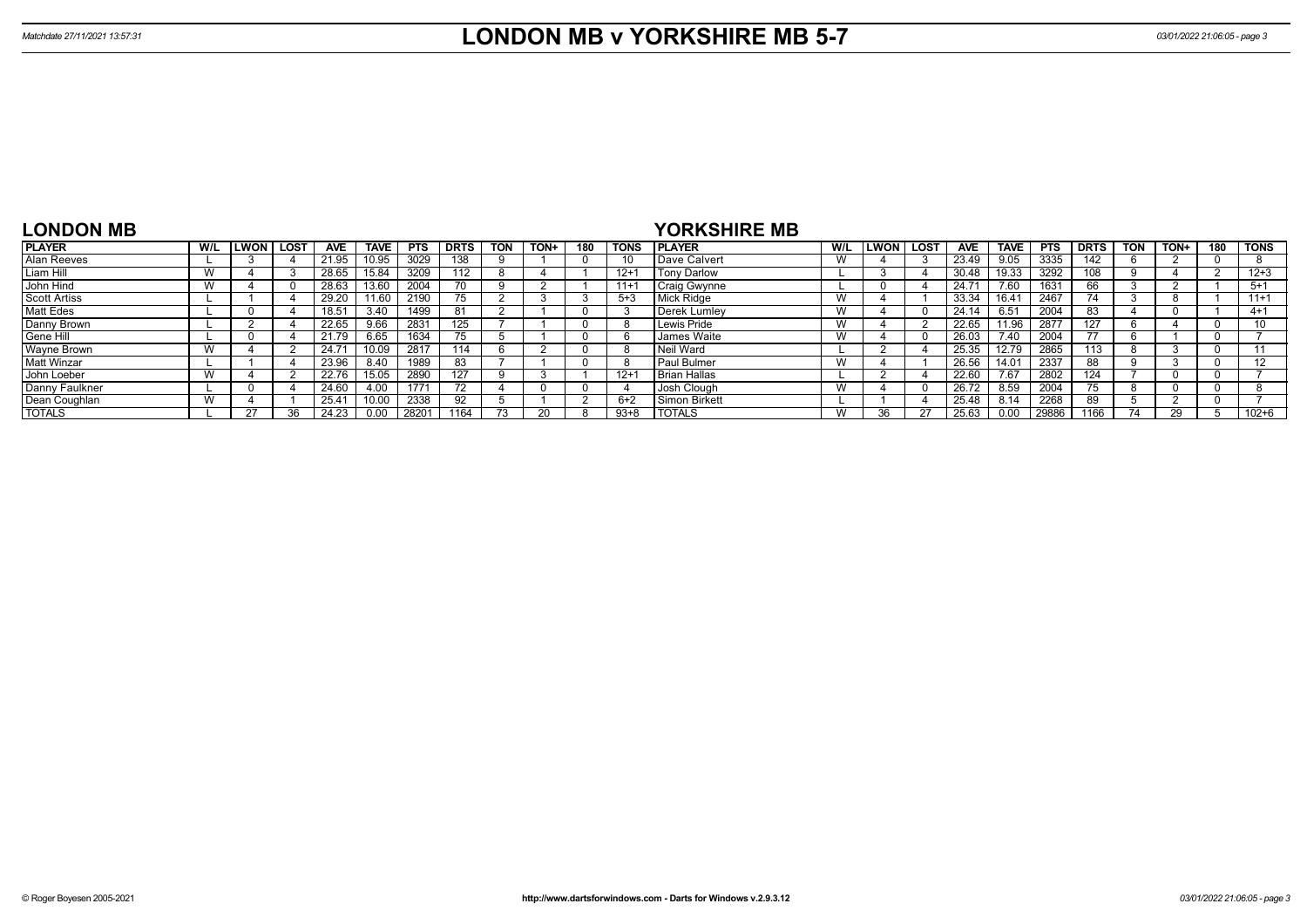| <b>LONDON MB</b>    |     |             |      |            |       |            |             |            |      |     |             | <b>YORKSHIRE MB</b>  |                   |             |            |             |            |             |     |      |     |           |
|---------------------|-----|-------------|------|------------|-------|------------|-------------|------------|------|-----|-------------|----------------------|-------------------|-------------|------------|-------------|------------|-------------|-----|------|-----|-----------|
| <b>PLAYER</b>       | W/L | <b>LWON</b> | LOST | <b>AVE</b> | TAVE  | <b>PTS</b> | <b>DRTS</b> | <b>TON</b> | TON+ | 180 | <b>TONS</b> | <b>IPLAYER</b>       | W/L               | LWON   LOST | <b>AVE</b> | <b>TAVE</b> | <b>PTS</b> | <b>DRTS</b> | TON | TON+ | 180 | l TONS    |
| Alan Reeves         |     |             |      | 21.95      | 10.95 | 3029       | 138         |            |      |     | 10          | Dave Calvert         | v v               |             | 23.49      | 9.05        | 3335       | 142         |     |      |     |           |
| Liam Hill           |     |             |      | 28.65      | 15.84 | 3209       | 112         |            |      |     | $12 +$      | l Tonv Darlow        |                   |             | 30.48      | 19.33       | 3292       | 108         |     |      |     | $12 + 3$  |
| John Hind           |     |             |      | 28.63      | 13.60 | 2004       | 70          |            |      |     | $11 +$      | Craig Gwynne         |                   |             | 24.7'      | 7.60        | 1631       | 66          |     |      |     | $5+1$     |
| <b>Scott Artiss</b> |     |             |      | 29.20      | 11.60 | 2190       |             |            |      |     | $5 + 3$     | Mick Ridge           | v v               |             | 33.34      | 16.41       | 2467       | 74          |     |      |     | $11+1$    |
| <b>Matt Edes</b>    |     | -0          |      | 18.51      | 3.40  | 1499       | 81          |            |      |     |             | Derek Lumley         | v v               |             | 24.14      | 6.51        | 2004       | 83          |     |      |     | $4 + 1$   |
| Danny Brown         |     |             |      | 22.65      | 9.66  | 2831       | 125         |            |      |     |             | Lewis Pride          | W                 |             | 22.65      | 11.96       | 2877       | 127         |     |      |     | 10        |
| Gene Hill           |     |             |      | 21.79      | 6.65  | 1634       | $\sqrt{5}$  |            |      |     |             | <b>James Waite</b>   | <b>181</b><br>V V |             | 26.03      | 7.40        | 2004       | 77          |     |      |     |           |
| Wayne Brown         |     |             |      | 24.71      | 10.09 | 2817       | 114         |            |      |     |             | Neil Ward            |                   |             | 25.35      | 12.79       | 2865       | $113 -$     |     |      |     |           |
| <b>Matt Winzar</b>  |     |             |      | 23.96      | 8.40  | 1989       |             |            |      |     |             | <b>I</b> Paul Bulmer |                   |             | 26.56      | 14.01       | 2337       | 88          |     |      |     | 12        |
| John Loeber         |     |             |      | 22.76      | 15.05 | 2890       | 127         |            |      |     | $12 +$      | <b>Brian Hallas</b>  |                   |             | 22.60      | 7.67        | 2802       | 124         |     |      |     |           |
| Danny Faulkner      |     |             |      | 24.60      | 4.00  | 1771       |             |            |      |     |             | I Josh Clough        | v v               |             | 26.72      | 8.59        | 2004       | 75          |     |      |     |           |
| Dean Coughlan       | W   |             |      | 25.4'      | 10.00 | 2338       | 92          |            |      |     | $6+2$       | Simon Birkett        |                   |             | 25.48      | 8.14        | 2268       | 89          |     |      |     |           |
| <b>TOTALS</b>       |     | 27          | วค   | 24.23      | 0.00  | 2820       | 1164        |            |      |     | $93 + 8$    | <b>I TOTALS</b>      | W                 |             | 25.63      | 0.00        | 29886      | 1166        |     |      |     | $102 + 6$ |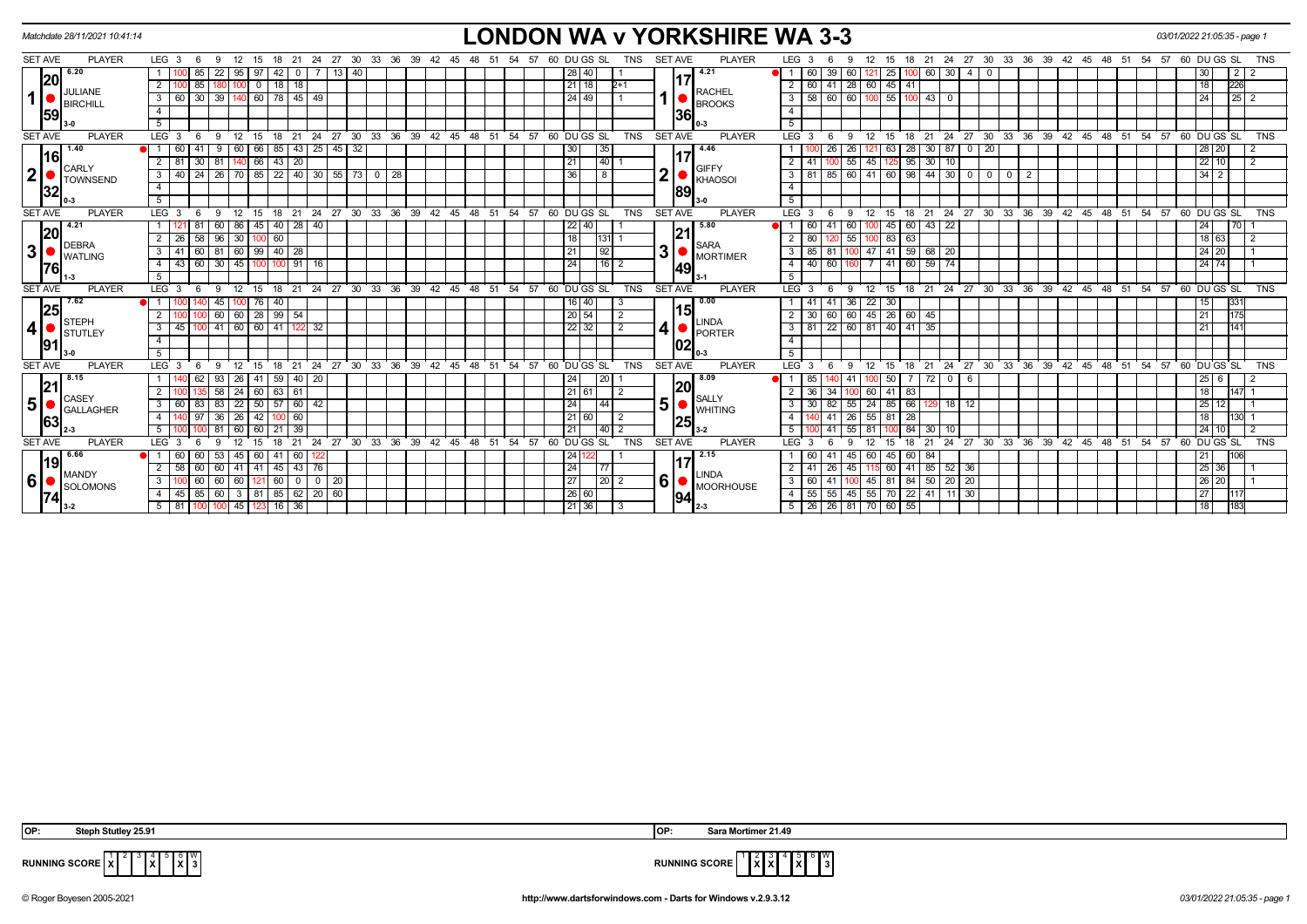|                |                | Matchdate 28/11/2021 10:41:14 |                  |                 |        |                              |                   |                 |                 |               |             |                             |                                |    |               |     |    |                  |    |    |                                                |  |                   |                                 |                |                |     | <b>LONDON WA v YORKSHIRE WA 3-3</b> |                |                  |      |                                                     |                     |                 |            |                              |                   |                |                |                         |    |    |                            |    |     |       |    | 03/01/2022 21:05:35 - page 1                         |                     |                |                |  |
|----------------|----------------|-------------------------------|------------------|-----------------|--------|------------------------------|-------------------|-----------------|-----------------|---------------|-------------|-----------------------------|--------------------------------|----|---------------|-----|----|------------------|----|----|------------------------------------------------|--|-------------------|---------------------------------|----------------|----------------|-----|-------------------------------------|----------------|------------------|------|-----------------------------------------------------|---------------------|-----------------|------------|------------------------------|-------------------|----------------|----------------|-------------------------|----|----|----------------------------|----|-----|-------|----|------------------------------------------------------|---------------------|----------------|----------------|--|
| <b>SET AVE</b> |                | <b>PLAYER</b>                 | LEG <sub>3</sub> |                 |        |                              |                   |                 |                 | -21           | 24          | 27                          | - 30                           | 33 | 36            | -39 | 42 | 45               |    |    | - 57<br>-54                                    |  | 60 DU GS SL       |                                 | TNS            | <b>SET AVE</b> |     | <b>PLAYER</b>                       |                | LEG <sub>3</sub> |      |                                                     |                     | 15              |            | -24<br>21                    |                   | 27 30          | 33             | 36                      | 39 | 42 | 45                         | 48 | -51 | -54   | 57 | 60 DU GS SL                                          |                     |                | TNS            |  |
|                | 6.20           |                               |                  |                 |        | 22                           |                   |                 | 42              |               |             | 13                          |                                |    |               |     |    |                  |    |    |                                                |  | 28 40             |                                 |                |                |     | 4.21                                |                | 60               |      |                                                     | 121                 | 25 <sub>1</sub> |            | 60                           | 30                |                |                |                         |    |    |                            |    |     |       |    |                                                      |                     | $\overline{2}$ |                |  |
|                | 20             |                               | 2                |                 | 85     |                              |                   | $\overline{0}$  | $18$ 18         |               |             |                             |                                |    |               |     |    |                  |    |    |                                                |  | 21 18             |                                 | $2+1$          |                | 17  | <b>RACHEL</b>                       |                | 2   60           |      | $41 \mid 28 \mid 60$                                |                     | 45 41           |            |                              |                   |                |                |                         |    |    |                            |    |     |       |    | 18                                                   |                     | 226            |                |  |
| 1              |                | JULIANE<br><b>BIRCHILL</b>    | 3 <sup>1</sup>   | 60 30           |        | 39   140   60   78   45   49 |                   |                 |                 |               |             |                             |                                |    |               |     |    |                  |    |    |                                                |  | 24   49           |                                 |                |                |     | <b>BROOKS</b>                       |                | $3 \mid 58$      |      | $60$   60   100   55   100   43   0                 |                     |                 |            |                              |                   |                |                |                         |    |    |                            |    |     |       |    | 24                                                   |                     | $\boxed{25}$   |                |  |
|                | 59             |                               | $\overline{4}$   |                 |        |                              |                   |                 |                 |               |             |                             |                                |    |               |     |    |                  |    |    |                                                |  |                   |                                 |                |                | 36  |                                     | $\overline{4}$ |                  |      |                                                     |                     |                 |            |                              |                   |                |                |                         |    |    |                            |    |     |       |    |                                                      |                     |                |                |  |
|                |                |                               | 5                |                 |        |                              |                   |                 |                 |               |             |                             |                                |    |               |     |    |                  |    |    |                                                |  |                   |                                 |                |                |     |                                     | 5              |                  |      |                                                     |                     |                 |            |                              |                   |                |                |                         |    |    |                            |    |     |       |    |                                                      |                     |                |                |  |
| <b>SET AVE</b> |                | <b>PLAYER</b>                 | LEG <sub>3</sub> |                 | - 6    | -9                           | 12                | - 15            | $18$ 21         |               |             |                             | 24 27 30                       |    |               |     |    |                  |    |    | 33 36 39 42 45 48 51 54 57 60 DUGS SL          |  |                   |                                 | TNS            | <b>SET AVE</b> |     | <b>PLAYER</b>                       |                | LEG <sup>3</sup> | - 6  | -9                                                  | 12                  | 15              |            |                              |                   |                |                |                         |    |    |                            |    |     |       |    | 18 21 24 27 30 33 36 39 42 45 48 51 54 57 60 DUGS SL |                     |                | TNS            |  |
|                | 1.40<br> 16    |                               |                  | 60 41           |        | 9                            | 60 66             |                 | 85              |               |             |                             | $143$ 25 45 32                 |    |               |     |    |                  |    |    |                                                |  | 30 <sub>l</sub>   | 35                              |                |                | 117 | 4.46                                |                |                  |      | $26 \mid 26$                                        | 121                 |                 |            | $63$   28   30   87   0   20 |                   |                |                |                         |    |    |                            |    |     |       |    |                                                      | 28 20               |                |                |  |
|                | <b>CARLY</b>   |                               | 2 I              | 81              | 30     | 81                           |                   | 66              | $43 \mid 20$    |               |             |                             |                                |    |               |     |    |                  |    |    |                                                |  | 21                | 140                             |                |                |     | <b>GIFFY</b>                        |                | $2 \mid 41$      |      | 55                                                  | 45                  |                 | 95         | 30                           | 10                |                |                |                         |    |    |                            |    |     |       |    |                                                      | $22$ 10             |                | $\overline{2}$ |  |
| $2\vert$       |                | <b>TOWNSEND</b>               | $\mathbf{3}$     | $40 \ 24$       |        |                              |                   |                 |                 |               |             |                             | $26$ 70 85 22 40 30 55 73 0 28 |    |               |     |    |                  |    |    |                                                |  | 36                | 8                               |                | 2              |     | <b>KHAOSOI</b>                      |                | $3 \mid 81$      |      | 85 60 41 60 98 44 30 0                              |                     |                 |            |                              |                   | $\overline{0}$ | $\overline{0}$ |                         |    |    |                            |    |     |       |    |                                                      | $34 \mid 2$         |                |                |  |
|                | 32             |                               | $\overline{4}$   |                 |        |                              |                   |                 |                 |               |             |                             |                                |    |               |     |    |                  |    |    |                                                |  |                   |                                 |                |                | 89  |                                     | $\overline{4}$ |                  |      |                                                     |                     |                 |            |                              |                   |                |                |                         |    |    |                            |    |     |       |    |                                                      |                     |                |                |  |
|                |                |                               | 5                |                 |        |                              |                   |                 |                 |               |             |                             |                                |    |               |     |    |                  |    |    |                                                |  |                   |                                 |                |                |     |                                     | 5              |                  |      |                                                     |                     |                 |            |                              |                   |                |                |                         |    |    |                            |    |     |       |    |                                                      |                     |                |                |  |
| <b>SET AVE</b> |                | <b>PLAYER</b>                 | LEG <sub>3</sub> |                 | - 6    | 9                            | 12                | - 15            | 18              | - 21          |             |                             |                                |    |               |     |    |                  |    |    | 24 27 30 33 36 39 42 45 48 51 54 57 60 DUGS SL |  |                   |                                 | <b>TNS</b>     | <b>SET AVE</b> |     | <b>PLAYER</b>                       |                | LEG 3            | 6    | -9                                                  | 12                  | 15              |            |                              |                   |                |                |                         |    |    |                            |    |     |       |    | 18 21 24 27 30 33 36 39 42 45 48 51 54 57 60 DUGS SL |                     |                | <b>TNS</b>     |  |
|                | 4.21<br>20     |                               |                  |                 |        | 60 I                         | 86 45             |                 |                 |               | 40 28 40    |                             |                                |    |               |     |    |                  |    |    |                                                |  | $22$ 40           |                                 |                |                | 21  | 5.80                                |                | 60               | 41   |                                                     |                     |                 |            | 45 60 43 22                  |                   |                |                |                         |    |    |                            |    |     |       |    | 24                                                   |                     | <b>170</b>     |                |  |
|                | DEBRA          |                               |                  | 26 58           |        | 96                           | 30                |                 | 60              |               |             |                             |                                |    |               |     |    |                  |    |    |                                                |  | 18                |                                 |                |                |     | <b>SARA</b>                         |                | $2 \mid 80$      |      | 551                                                 | 10O                 | 83 63           |            |                              |                   |                |                |                         |    |    |                            |    |     |       |    |                                                      | 18 63               |                |                |  |
| 3              | <b>WATLING</b> |                               | 3 <sup>1</sup>   | 41              | - 60 I | 81 60 99 40 28               |                   |                 |                 |               |             |                             |                                |    |               |     |    |                  |    |    |                                                |  | 21                | 92                              |                | 3              |     | MORTIMER                            |                | $3 \mid 85$      | -81  |                                                     | 100 47              |                 |            | 41 59 68 20                  |                   |                |                |                         |    |    |                            |    |     |       |    |                                                      | 24 20               |                |                |  |
|                | 76             |                               | 4                | 43 60 30 45 100 |        |                              |                   |                 |                 |               | $100$ 91 16 |                             |                                |    |               |     |    |                  |    |    |                                                |  | 24 <sup>1</sup>   | 16   2                          |                |                | 49  |                                     |                | $4 \mid 40$      | 60'  |                                                     | $160 \quad 7 \quad$ |                 |            | 41 60 59 74                  |                   |                |                |                         |    |    |                            |    |     |       |    |                                                      | 24 74               |                |                |  |
|                |                |                               | 5                |                 |        |                              |                   |                 |                 |               |             |                             |                                |    |               |     |    |                  |    |    |                                                |  |                   |                                 |                |                |     |                                     | 5              |                  |      |                                                     |                     |                 |            |                              |                   |                |                |                         |    |    |                            |    |     |       |    |                                                      |                     |                |                |  |
| <b>SET AVE</b> |                | <b>PLAYER</b>                 | LEG <sub>3</sub> |                 |        |                              | 12                | 15              | 18              | $^{\circ}$ 21 |             | $24 \overline{\smash{)}27}$ | 30 <sup>°</sup>                |    | $33 \quad 36$ |     |    | 39 42 45         |    |    | 48 51 54 57 60 DUGS SL                         |  |                   |                                 | <b>TNS</b>     | <b>SET AVE</b> |     | <b>PLAYER</b>                       |                | LEG <sup>3</sup> |      | -9                                                  | 12                  | 15              |            |                              |                   |                |                | 18 21 24 27 30 33 36 39 |    |    | 42 45 48 51                |    |     | 54.57 |    | 60 DU GS SL                                          |                     |                | <b>TNS</b>     |  |
|                | 7.62<br> 25    |                               |                  |                 |        | 45                           |                   |                 | 40              |               |             |                             |                                |    |               |     |    |                  |    |    |                                                |  | $16$   $40$       |                                 |                |                | 15  | 0.00                                |                |                  |      | 36                                                  | 22                  | 30              |            |                              |                   |                |                |                         |    |    |                            |    |     |       |    |                                                      |                     | 331            |                |  |
|                | STEPH          |                               | $\mathbf{2}$     |                 |        | 60                           | $60 \mid 28 \mid$ |                 | $\boxed{99}$ 54 |               |             |                             |                                |    |               |     |    |                  |    |    |                                                |  | 20 54             |                                 |                |                |     | <b>LINDA</b>                        |                | $2 \mid 30$      | 60 l | l 60 l                                              | 45                  |                 | $26$ 60 45 |                              |                   |                |                |                         |    |    |                            |    |     |       |    | 21                                                   |                     | 175            |                |  |
| 4              |                | STUTLEY                       | $\mathbf{3}$     | 45              |        | 41                           | $\sqrt{60}$       | $\sqrt{60}$     | 41              | 122           | 32          |                             |                                |    |               |     |    |                  |    |    |                                                |  | $22 \mid 32 \mid$ |                                 | $\overline{2}$ | 4              |     | <b>PORTER</b>                       |                | $3 \mid 81$      |      | 22 60 81 40 41 35                                   |                     |                 |            |                              |                   |                |                |                         |    |    |                            |    |     |       |    | 21                                                   |                     | 141            |                |  |
|                | 91             |                               | $\overline{4}$   |                 |        |                              |                   |                 |                 |               |             |                             |                                |    |               |     |    |                  |    |    |                                                |  |                   |                                 |                |                | 02  |                                     | $\overline{4}$ |                  |      |                                                     |                     |                 |            |                              |                   |                |                |                         |    |    |                            |    |     |       |    |                                                      |                     |                |                |  |
|                |                |                               | 5                |                 |        |                              |                   |                 |                 |               |             |                             |                                |    |               |     |    |                  |    |    |                                                |  |                   |                                 |                |                |     |                                     | 5              |                  |      |                                                     |                     |                 |            |                              |                   |                |                |                         |    |    |                            |    |     |       |    |                                                      |                     |                |                |  |
| <b>SET AVE</b> |                | <b>PLAYER</b>                 | LEG <sub>3</sub> |                 |        | q                            | 12                | 15              | 18              | 21            |             | $24$ 27                     | 30 <sup>°</sup>                |    | 33 36         |     |    | $39 \t 42 \t 45$ | 48 | 51 | 54<br>57                                       |  | 60 DU GS SL       |                                 | <b>TNS</b>     | <b>SET AVE</b> |     | <b>PLAYER</b>                       |                | LEG 3            |      | Q                                                   | 12                  | 15              | 18         | 21                           |                   |                |                | 24 27 30 33 36 39       |    |    | 42 45 48 51                |    |     | 54    |    | 57 60 DU GS SL                                       |                     |                | <b>TNS</b>     |  |
|                | 8.15<br> 21    |                               |                  |                 | 62     | 93                           | 26 I              | l 41 l          | 59              |               | 40 20       |                             |                                |    |               |     |    |                  |    |    |                                                |  | 24 I              | l 20 l                          |                |                | 20  | 8.09                                |                | 85               |      |                                                     |                     | 50 I            |            |                              | 0   6             |                |                |                         |    |    |                            |    |     |       |    |                                                      | $25 \quad 6$        |                |                |  |
|                | <b>CASEY</b>   |                               | $\overline{2}$   |                 |        | 58                           | 24                | 60 I            | 63   61         |               |             |                             |                                |    |               |     |    |                  |    |    |                                                |  | 21 61             |                                 |                |                |     | <b>SALLY</b>                        |                | 36               |      |                                                     | 60                  | $41 \ 83$       |            |                              |                   |                |                |                         |    |    |                            |    |     |       |    | 18                                                   |                     | 147            |                |  |
| 5              | $\bullet$ :    | <b>GALLAGHER</b>              | 3 <sup>1</sup>   | 60              | 83     | 83                           | 22                | 50 <sub>1</sub> |                 |               | $57$ 60 42  |                             |                                |    |               |     |    |                  |    |    |                                                |  | 24                |                                 |                | 5              |     | <b>WHITING</b>                      | 3 <sup>1</sup> | 30               |      | 55                                                  | 24                  | 85 66           |            | 129                          | 18   12           |                |                |                         |    |    |                            |    |     |       |    | 25 <sub>1</sub>                                      | 12                  |                |                |  |
|                | 63             |                               | 4                |                 |        | 36                           | 26                | 42              | 100             | 60            |             |                             |                                |    |               |     |    |                  |    |    |                                                |  | 21 60             |                                 |                |                | 25  |                                     | 4              |                  |      | 26                                                  | 55                  | $81$ 28         |            |                              |                   |                |                |                         |    |    |                            |    |     |       |    | 18                                                   |                     | 130            |                |  |
|                |                |                               | 5                |                 |        | 81                           | 60                |                 | 21              | 39            |             |                             |                                |    |               |     |    |                  |    |    |                                                |  | 21                | $\overline{140}$ $\overline{2}$ |                |                |     |                                     | 5              |                  |      |                                                     | 81                  |                 |            | 30                           | 10                |                |                |                         |    |    |                            |    |     |       |    |                                                      | $24$ 10             |                |                |  |
| <b>SET AVE</b> |                | <b>PLAYER</b>                 | LEG <sub>3</sub> |                 |        |                              | 12                |                 | 18              | 21            | 24          |                             | 27 30 33 36 39 42 45 48        |    |               |     |    |                  |    | 51 | 54 57                                          |  | 60 DUGS SL        |                                 | <b>TNS</b>     | <b>SET AVE</b> |     | <b>PLAYER</b>                       |                | LEG 3            |      | -9                                                  |                     | 15 <sub>1</sub> | 18         | 21                           | $^{\circ}$ 24     |                |                |                         |    |    | 27 30 33 36 39 42 45 48 51 |    |     | 54 57 |    | 60 DU GS SL                                          |                     |                | <b>TNS</b>     |  |
|                | 6.66<br> 19    |                               |                  | 60              | 60     | 53                           | 45                | - 60 I          | 41 60           |               |             |                             |                                |    |               |     |    |                  |    |    |                                                |  | 24 1              |                                 |                |                |     | 2.15                                |                | 1 60             | 41   |                                                     | 45 60               |                 | 45 60 84   |                              |                   |                |                |                         |    |    |                            |    |     |       |    | 21                                                   |                     | 106            |                |  |
|                |                | <b>MANDY</b>                  | $\overline{2}$   | 58              | 60     | 60 41 41 45 43 76            |                   |                 |                 |               |             |                             |                                |    |               |     |    |                  |    |    |                                                |  | 24                | l 77                            |                |                |     | <b>LINDA</b>                        |                | $2 \mid 41$      |      | 26   45   115                                       |                     |                 |            | 60 41 85 52 36               |                   |                |                |                         |    |    |                            |    |     |       |    |                                                      | $25 \overline{)36}$ |                |                |  |
| 6              |                | SOLOMONS                      | 3 <sup>1</sup>   |                 | 60 I   | 60                           | 60 121            |                 | 60              | $\mathbf{0}$  |             | $0$   20                    |                                |    |               |     |    |                  |    |    |                                                |  | 27                | $\sqrt{20}$ 2                   |                | 6              |     | <b>MOORHOUSE</b>                    |                | 3   60           |      | 41   100   45   81   84   50                        |                     |                 |            |                              | $20 \mid 20 \mid$ |                |                |                         |    |    |                            |    |     |       |    |                                                      | 26 20               |                |                |  |
|                | 74             |                               | 4                | 45 85           |        | 60 3 81 85 62 20 60          |                   |                 |                 |               |             |                             |                                |    |               |     |    |                  |    |    |                                                |  | 26 60             |                                 |                |                | 94  |                                     |                | 4   55           |      | 55 45 55 70 22 41 11 30                             |                     |                 |            |                              |                   |                |                |                         |    |    |                            |    |     |       |    | 27                                                   |                     | 1117           |                |  |
|                |                |                               | 5 81             |                 |        |                              | 45                |                 | $16$ 36         |               |             |                             |                                |    |               |     |    |                  |    |    |                                                |  | $21 \mid 36 \mid$ |                                 |                |                |     |                                     |                |                  |      | $5 \mid 26 \mid 26 \mid 81 \mid 70 \mid 60 \mid 55$ |                     |                 |            |                              |                   |                |                |                         |    |    |                            |    |     |       |    | 18                                                   |                     | 183            |                |  |

 3 4 **X** 6 **X** W



**RUNNING SCORE**  $\overline{X}$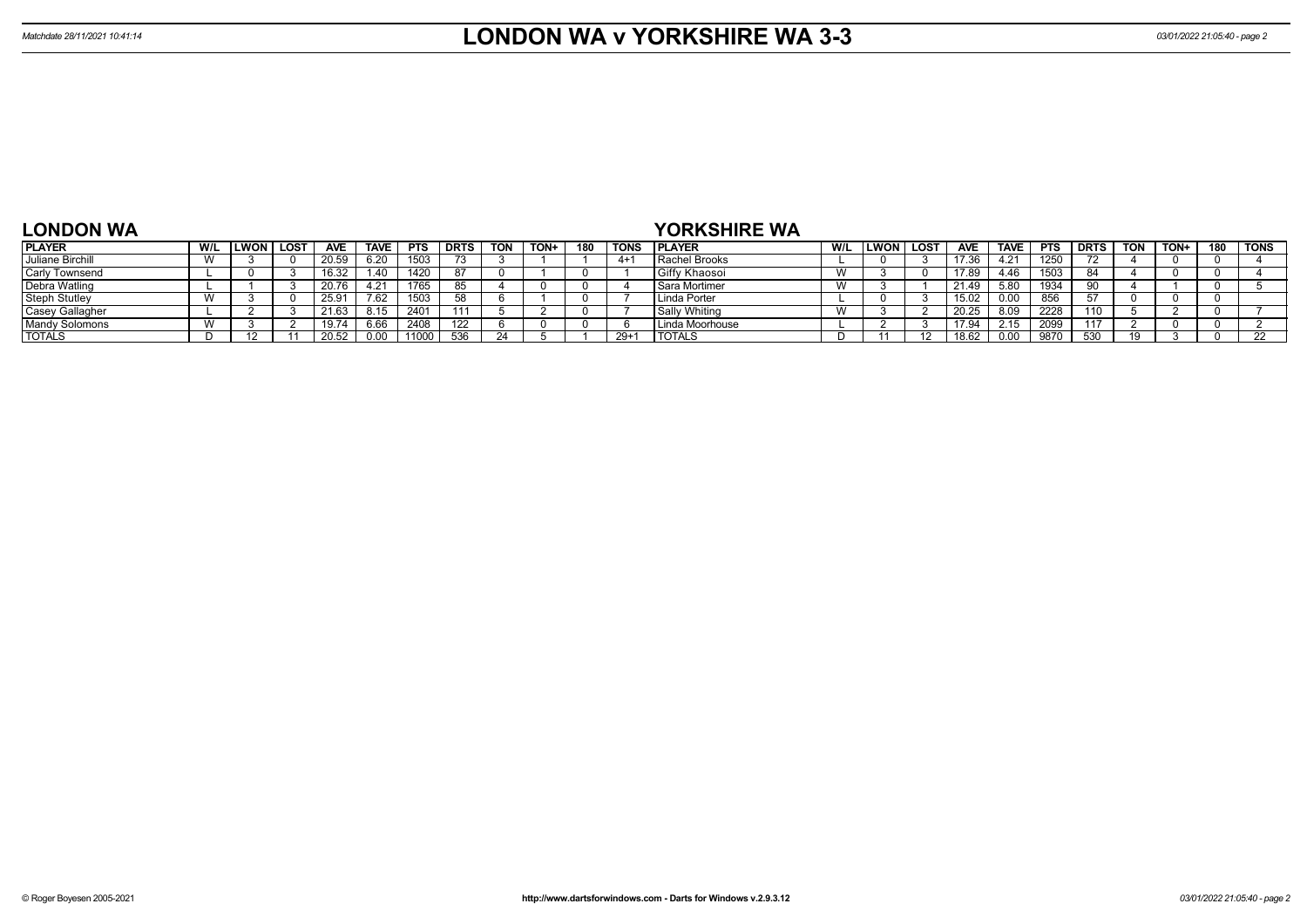## **LONDON WA**

## **YORKSHIRE WA**

| <b>PLAYER</b>          | W/L | LWON | LOST | <b>AVE</b>   | <b>TAVE</b> | <b>PTS</b> | <b>DRTS</b> | <b>TON</b> | TON+ | 180 | <b>TONS</b> | <b>PLAYER</b>        | W/L                   | LWON | <b>LOST</b> | <b>AVE</b> | <b>TAVE</b> | <b>PTS</b> | <b>DRTS</b> | TON | TON+ | 180 | <b>TONS</b> |
|------------------------|-----|------|------|--------------|-------------|------------|-------------|------------|------|-----|-------------|----------------------|-----------------------|------|-------------|------------|-------------|------------|-------------|-----|------|-----|-------------|
| Juliane Birchill       |     |      |      | 20.59        | 6.20        | 1503       | 73          |            |      |     | $4+$        | <b>Rachel Brooks</b> |                       |      |             | 17.36      | 4.21        | 1250       |             |     |      |     |             |
| <b>Carly Townsend</b>  |     |      |      | 16.32        | 1.40        | 1420       |             |            |      |     |             | Giffy Khaosoi        | $\lambda$<br>V V      |      |             | 17.89      | 4.46        | 1503       | 84          |     |      |     |             |
| <b>Debra Watling</b>   |     |      |      | 207<br>∠0.70 | 4.21        | 1765       |             |            |      |     |             | Sara Mortimer        | $\overline{M}$<br>V V |      |             | 21.49      | 5.80        | 1934       | ററ          |     |      |     |             |
| <b>Steph Stutley</b>   |     |      |      | 25.9         | 7.62        | 1503       | 52          |            |      |     |             | Linda Porter         |                       |      |             | 15.02      | 0.00        |            |             |     |      |     |             |
| <b>Casey Gallagher</b> |     |      |      | 21.61        | 8.15        | 2401       |             |            |      |     |             | Sally Whiting        | $\overline{M}$<br>V V |      |             | 20.25      | 8.09        | 2228       | 110         |     |      |     |             |
| <b>Mandy Solomons</b>  |     |      |      | 19.74        | 6.66        | 2408       | 122         |            |      |     |             | Linda Moorhouse      |                       |      |             | 17.94      | 2.15        | 2099       | 117         |     |      |     |             |
| <b>TOTALS</b>          |     |      |      | 20.52        | 0.00        | 11000      | 536         |            |      |     | $29+$       | <b>TOTALS</b>        |                       |      |             | 18.62      | 0.00        | 9870       | 530         |     |      |     |             |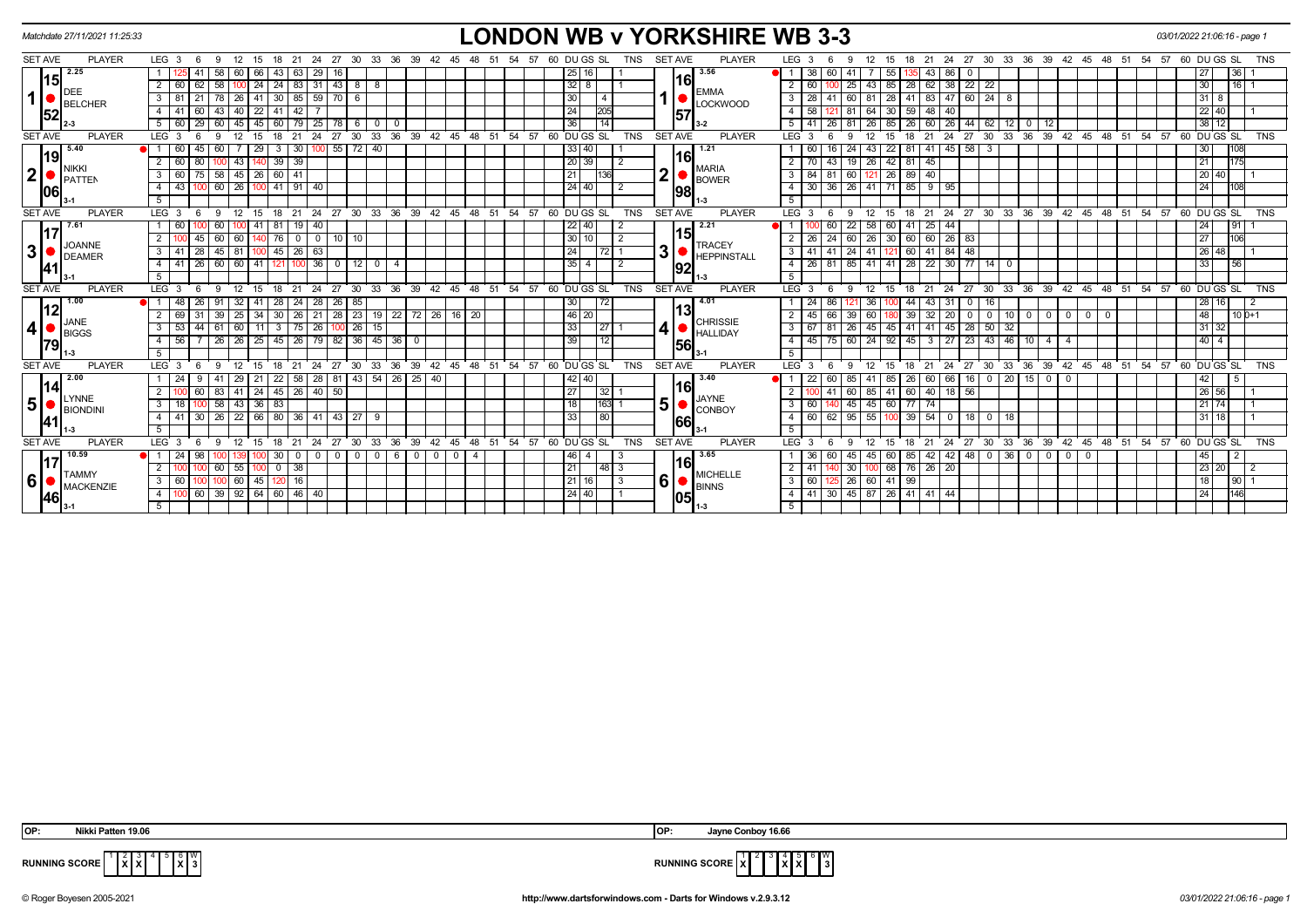|                | Matchdate 27/11/2021 11:25:33 |                  |                        |                                    |                                        |             |                              |               |                 |             |                      |                               |                                                                                                                             |                        |                |    |       |    |                                                      |                       |            |                |      | <b>LONDON WB v YORKSHIRE WB 3-3</b> |                  |              |        |                                                             |          |         |                              |             |                                                      |                 |                          |                   |                            |           |     |       | 03/01/2022 21:06:16 - page 1 |              |            |
|----------------|-------------------------------|------------------|------------------------|------------------------------------|----------------------------------------|-------------|------------------------------|---------------|-----------------|-------------|----------------------|-------------------------------|-----------------------------------------------------------------------------------------------------------------------------|------------------------|----------------|----|-------|----|------------------------------------------------------|-----------------------|------------|----------------|------|-------------------------------------|------------------|--------------|--------|-------------------------------------------------------------|----------|---------|------------------------------|-------------|------------------------------------------------------|-----------------|--------------------------|-------------------|----------------------------|-----------|-----|-------|------------------------------|--------------|------------|
| <b>SET AVE</b> | <b>PLAYER</b>                 |                  | LEG $3 \quad 6$        | - 9                                | 12                                     | 15          | 21                           | 24            | 27              | - 30        | 33<br>-36            | 39                            |                                                                                                                             | 45                     |                |    | -57   | 60 | DU GS SL                                             |                       | TNS        | <b>SET AVE</b> |      | <b>PLAYER</b>                       | LEG <sub>3</sub> |              |        | 12                                                          | 15       |         | 21<br>-24                    | 27          | -30                                                  | 33<br>36        | 39                       | - 42              | -45                        | 48<br>-51 | -54 | 57    | 60 DU GS SL                  |              | TNS        |
|                | $15$ <sup>2.25</sup>          |                  |                        | 58                                 | 60                                     | 66          | 43                           | 29            |                 |             |                      |                               |                                                                                                                             |                        |                |    |       |    | 25                                                   | 16                    |            |                |      | 3.56                                | <b>el</b> 1 I    | 38           |        | 41                                                          |          |         | 86                           |             |                                                      |                 |                          |                   |                            |           |     |       |                              | 36           |            |
|                |                               | 2                | 60                     | 58 <sup>1</sup><br>62 <sub>1</sub> |                                        |             | $100$ 24 24 83 31 43 8 8     |               |                 |             |                      |                               |                                                                                                                             |                        |                |    |       |    | $32 \mid 8$                                          |                       |            |                | 16   |                                     | 2 I              | 60           |        | 25                                                          | 43 85    | 28      | $62 \mid 38 \mid$            | 22          | 22                                                   |                 |                          |                   |                            |           |     |       | 30 <sub>o</sub>              | $16$   1     |            |
| $\mathbf{1}$   | DEE<br><b>BELCHER</b>         | $3 \mid 81$      |                        |                                    | 78   26   41   30   85   59   70   6   |             |                              |               |                 |             |                      |                               |                                                                                                                             |                        |                |    |       |    | 30 <sup>°</sup>                                      | -4                    |            |                |      | <b>EMMA</b><br><b>LOCKWOOD</b>      |                  | $3 \mid 28$  | l 41 l | 60 81 28                                                    |          |         |                              |             | 41   83   47   60   24   8                           |                 |                          |                   |                            |           |     |       | $31 \mid 8$                  |              |            |
| 52             |                               | 4 I              | -41<br>-60             |                                    | 43 40 22 41 42                         |             |                              |               |                 |             |                      |                               |                                                                                                                             |                        |                |    |       |    | 24                                                   | 205                   |            |                | 57   |                                     | $-4$             | 58           |        | 81   64   30   59   48   40                                 |          |         |                              |             |                                                      |                 |                          |                   |                            |           |     |       | 22 40                        |              |            |
|                |                               | 5                | 60<br>$\vert 29 \vert$ | 60                                 | 45                                     | 45          | 60                           |               | $\overline{78}$ |             | 600                  |                               |                                                                                                                             |                        |                |    |       |    | 36                                                   | $\overline{14}$       |            |                |      | $3 - 2$                             | 5                |              | 26     | 81 I                                                        | 26 85    | 26      | $60 \mid 26 \mid$            |             | $144$ 62 12 0                                        |                 | 12                       |                   |                            |           |     |       | $38$ 12                      |              |            |
| <b>SET AVE</b> | <b>PLAYER</b>                 | LEG <sup>3</sup> | - 6                    | -9                                 | 12                                     | - 15        | 18<br>$^{\circ}$ 21          | $^{\circ}$ 24 |                 |             |                      |                               |                                                                                                                             |                        |                |    |       |    | 27 30 33 36 39 42 45 48 51 54 57 60 DUGS SL          |                       | TNS        | <b>SET AVE</b> |      | <b>PLAYER</b>                       | LEG <sup>3</sup> |              | - 6    | 12<br>9                                                     | 15       | 18      | $21 \quad 24$                |             | 27 30 33 36 39 42 45 48 51 54 57 60 DUGS SL          |                 |                          |                   |                            |           |     |       |                              |              | <b>TNS</b> |
| 19             | 5.40                          |                  | 60<br>45               | 60                                 |                                        | -29         | $3 \mid 30 \mid 1$           |               |                 | 00 55 72 40 |                      |                               |                                                                                                                             |                        |                |    |       |    | $33   40$                                            |                       |            |                |      | 1.21                                |                  | 60           |        | 24                                                          | 43 22    | 81      | $141 \mid 45 \mid 58 \mid 3$ |             |                                                      |                 |                          |                   |                            |           |     |       | 30 <sup>7</sup>              |              |            |
|                | <b>NIKKI</b>                  |                  | 60                     |                                    | 43                                     |             | $39 \mid 39$                 |               |                 |             |                      |                               |                                                                                                                             |                        |                |    |       |    | $\sqrt{20}$ 39                                       |                       | 2          |                | 16   |                                     | 2 <sup>1</sup>   | 70           | 43     | 19 26 42                                                    |          | 81      | 45                           |             |                                                      |                 |                          |                   |                            |           |     |       | 21                           |              |            |
| $\mathbf{2}$   | <b>PATTEN</b>                 | 3                | 60                     |                                    | $58$   45   26                         |             | 60 41                        |               |                 |             |                      |                               |                                                                                                                             |                        |                |    |       |    | 21                                                   | 136                   |            | 2 <sub>1</sub> |      | <b>MARIA</b><br><b>BOWER</b>        | 3                | $84$ 81      |        | 60 12                                                       | 26       | 89 40   |                              |             |                                                      |                 |                          |                   |                            |           |     |       | 20 40                        |              |            |
| 106            |                               | $\overline{4}$   | 43                     |                                    | 60   26   100   41   91   40           |             |                              |               |                 |             |                      |                               |                                                                                                                             |                        |                |    |       |    | 24   40                                              |                       | $\sqrt{2}$ |                | 1981 |                                     | $\overline{4}$   |              |        | $30 \mid 36 \mid 26 \mid 41 \mid 71 \mid 85 \mid 9 \mid 95$ |          |         |                              |             |                                                      |                 |                          |                   |                            |           |     |       | 24                           | 108          |            |
|                |                               | 5 <sup>5</sup>   |                        |                                    |                                        |             |                              |               |                 |             |                      |                               |                                                                                                                             |                        |                |    |       |    |                                                      |                       |            |                |      |                                     | 5 <sup>5</sup>   |              |        |                                                             |          |         |                              |             |                                                      |                 |                          |                   |                            |           |     |       |                              |              |            |
| <b>SET AVE</b> | <b>PLAYER</b>                 | LEG <sub>3</sub> | - 6                    | 9                                  | 12 15                                  |             |                              |               |                 |             |                      |                               |                                                                                                                             |                        |                |    |       |    | 18 21 24 27 30 33 36 39 42 45 48 51 54 57 60 DUGS SL |                       | TNS        | <b>SET AVE</b> |      | <b>PLAYER</b>                       | LEG <sub>3</sub> |              | - 6    | 9                                                           | 12 15    |         |                              |             | 18 21 24 27 30 33 36 39 42 45 48 51 54 57 60 DUGS SL |                 |                          |                   |                            |           |     |       |                              |              | <b>TNS</b> |
| 117            | 17.61                         | 1 60             |                        | 60                                 |                                        |             | 100 41 81 19 40              |               |                 |             |                      |                               |                                                                                                                             |                        |                |    |       |    | 22   40                                              |                       | 2          |                |      | 2.21                                | $\blacksquare$ 1 |              | 60     | 22 58 60                                                    |          | 41      | $25 \mid 44$                 |             |                                                      |                 |                          |                   |                            |           |     |       | 24                           |              |            |
|                |                               | 2                |                        | 45 I                               | 60 60 1                                | <b>40</b>   | 176 0 0 10 10 10             |               |                 |             |                      |                               |                                                                                                                             |                        |                |    |       |    | 30   10                                              |                       | $\sqrt{2}$ |                | 15   |                                     |                  |              |        | 2   26   24   60   26   30   60   60   26   83              |          |         |                              |             |                                                      |                 |                          |                   |                            |           |     |       | 27                           | 106          |            |
| 3 <sup>1</sup> | <b>JOANNE</b><br>DEAMER       | 3   41           |                        |                                    | 28   45   81   100   45   26   63      |             |                              |               |                 |             |                      |                               |                                                                                                                             |                        |                |    |       |    | 24                                                   | 72 1                  |            | 3 <sup>1</sup> |      | <b>TRACEY</b><br><b>HEPPINSTALL</b> |                  |              |        | 3   41   41   24   41   121   60   41   84   48             |          |         |                              |             |                                                      |                 |                          |                   |                            |           |     |       | 26 48                        |              |            |
| 41             |                               |                  | -41                    |                                    | 26   60   60   41   121   100   36   0 |             |                              |               |                 |             | $12$ 0 $14$          |                               |                                                                                                                             |                        |                |    |       |    | 35 4                                                 |                       | 2          |                | 92   |                                     | $-4$             |              |        | 26   81   85   41   41   28   22   30   77   14   0         |          |         |                              |             |                                                      |                 |                          |                   |                            |           |     |       | 33                           | 56           |            |
|                |                               | 5                |                        |                                    |                                        |             |                              |               |                 |             |                      |                               |                                                                                                                             |                        |                |    |       |    |                                                      |                       |            |                |      |                                     | 5                |              |        |                                                             |          |         |                              |             |                                                      |                 |                          |                   |                            |           |     |       |                              |              |            |
| <b>SET AVE</b> | <b>PLAYER</b>                 | LEG <sub>3</sub> |                        |                                    | 12                                     | - 15        | 18                           |               | 21 24 27 30     |             | $33^\circ$<br>ີ 36   | ີ 39                          | $42^{\circ}$                                                                                                                | 45 48 51               |                |    | 54 57 |    | 60 DU GS SL                                          |                       | <b>TNS</b> | <b>SET AVE</b> |      | <b>PLAYER</b>                       | <b>LEG</b>       | -3           |        | 12                                                          | - 15     | 18      |                              |             | 21 24 27 30 33 36 39 42 45 48 51 54 57 60 DUGS SL    |                 |                          |                   |                            |           |     |       |                              |              | <b>TNS</b> |
|                | 1.00                          |                  |                        | 91                                 | 32                                     | l 41        | 28 24 28                     |               | 26              | 85          |                      |                               |                                                                                                                             |                        |                |    |       |    | 30 <sup>°</sup>                                      | 72                    |            |                |      | $-4.01$                             |                  | -24          | 86     | 36                                                          |          | 44      | 43<br>-31                    | $\mathbf 0$ |                                                      |                 |                          |                   |                            |           |     |       | 28 16                        |              |            |
| 12             | <b>JANE</b>                   |                  |                        | 39                                 | 25                                     | -34         | 30                           | $26$   21     | $\overline{28}$ | 23 19       |                      | $\overline{22}$               | $72$ 26                                                                                                                     | 16                     | 20             |    |       |    | $46 \overline{20}$                                   |                       |            |                | 13l  | <b>CHRISSIE</b>                     | $\overline{2}$   |              |        | 39                                                          |          | 39      | 20                           |             |                                                      | 10 <sup>1</sup> | $\Omega$                 | $\overline{0}$    | $\overline{0}$<br>$\Omega$ |           |     |       | 48                           | 10 0+1       |            |
| 4              | <b>BIGGS</b>                  | $\mathbf{3}$     | 53                     | 61                                 | 60 11                                  |             | $3 \mid 75 \mid 26$          |               | 100             | 26          | 15                   |                               |                                                                                                                             |                        |                |    |       |    | 33                                                   | $\left  27 \right $ 1 |            | $\vert$        |      | <b>HALLIDAY</b>                     | $3 \mid$         | 67           |        | 26                                                          | 45 45    | 41      | 45 <br>41                    | 28          | $50 \mid 32$                                         |                 |                          |                   |                            |           |     |       | 31 32                        |              |            |
| 79             |                               | 4                | 56                     |                                    | $26$   26   25                         |             | 45                           |               | 82              | 36 45       |                      | 36<br>$\overline{\mathbf{0}}$ |                                                                                                                             |                        |                |    |       |    | 39                                                   | 12                    |            |                | 56   |                                     | 4                | $45 \mid 75$ |        | 60 24 92                                                    |          | 45      | $3 \mid 27 \mid$             | $\sqrt{23}$ | $43 \mid 46 \mid$                                    | $\sqrt{10}$     | 41                       |                   |                            |           |     |       | $40 \overline{4}$            |              |            |
|                |                               | 5                |                        |                                    |                                        |             |                              |               |                 |             |                      |                               |                                                                                                                             |                        |                |    |       |    |                                                      |                       |            |                |      |                                     | 5                |              |        |                                                             |          |         |                              |             |                                                      |                 |                          |                   |                            |           |     |       |                              |              |            |
| <b>SET AVE</b> | <b>PLAYER</b>                 | LEG <sub>3</sub> |                        |                                    | 12                                     |             | 21                           | 24            | 27              | 30          | 33                   | 36<br>39                      | $42^{\circ}$                                                                                                                | $45 \quad 48 \quad 51$ |                |    | 54 57 |    | 60 DU GS SL                                          |                       | <b>TNS</b> | <b>SET AVE</b> |      | <b>PLAYER</b>                       | LEG <sup>'</sup> |              |        |                                                             |          |         | 24<br>21                     | 27          | 30                                                   | $33^\circ$      |                          | 36 39 42 45 48 51 |                            |           |     |       | 54 57 60 DU GS SL            |              | <b>TNS</b> |
|                | 2.00                          |                  | -24                    | 41                                 | 29   21                                |             | 22                           | $58 \mid 28$  | 81              |             | 43 54 26 25 40       |                               |                                                                                                                             |                        |                |    |       |    | 42 40                                                |                       |            |                |      | 3.40                                |                  |              |        | 85                                                          | - 85     | 26      | 66  <br>-60                  | 16          | $0$   20   15                                        |                 | $\overline{\phantom{0}}$ | $\mathbf{0}$      |                            |           |     |       | 42                           |              |            |
| 14             | LYNNE                         | $\overline{2}$   |                        | 83                                 | 41                                     | $\sqrt{24}$ | $45 \mid 26 \mid 40 \mid 50$ |               |                 |             |                      |                               |                                                                                                                             |                        |                |    |       |    | 27                                                   | 32 1                  |            |                | 16   | <b>JAYNE</b>                        | 2                |              |        | 60                                                          | 85 41 60 |         | $40$   18   56               |             |                                                      |                 |                          |                   |                            |           |     |       | 26 56                        |              |            |
| 5              | BIONDINI                      | 3                | 18                     |                                    | $58$   43   36                         |             | 83                           |               |                 |             |                      |                               |                                                                                                                             |                        |                |    |       |    | 18                                                   | 163 1                 |            | 5              |      | CONBOY                              | 3 <sup>1</sup>   | 60 I         |        | $45 \mid 45 \mid 60$                                        |          | $77$ 74 |                              |             |                                                      |                 |                          |                   |                            |           |     |       | 21 74                        |              |            |
| <b>41</b>      |                               | 4                | 41<br><b>30</b>        |                                    | 26 22 66 80 36 41 43 27 9              |             |                              |               |                 |             |                      |                               |                                                                                                                             |                        |                |    |       |    | 33                                                   | 80                    |            |                | 66   |                                     | $-4$             | $60$ 62      |        | $\overline{95}$ 55 100 39 54 0 18 0 18                      |          |         |                              |             |                                                      |                 |                          |                   |                            |           |     |       | $31$ 18                      |              |            |
|                |                               |                  |                        |                                    |                                        |             |                              |               |                 |             |                      |                               |                                                                                                                             |                        |                |    |       |    |                                                      |                       |            |                |      |                                     | 5                |              |        |                                                             |          |         |                              |             |                                                      |                 |                          |                   |                            |           |     |       |                              |              |            |
| <b>SET AVE</b> | <b>PLAYER</b>                 | LEG <sub>3</sub> | - 6                    | 9                                  | 12                                     | - 15        | $\cdot$ 21<br>18             |               |                 |             | 24 27 30 33 36 39 42 |                               |                                                                                                                             | 45                     | 48             | 51 | 54 57 |    | 60 DU GS SL                                          |                       | <b>TNS</b> | SET AVE        |      | <b>PLAYER</b>                       | $LEG^{\prime}$ 3 |              | -6     | $12 \overline{ }$<br>9                                      | - 15     | 18      | 21                           |             | 24 27 30 33 36 39 42 45                              |                 |                          |                   |                            | 48 51     |     | 54 57 | 60 DU GS SL                  |              | <b>TNS</b> |
| 17             | 10.59                         |                  | 24                     |                                    |                                        |             | 30                           | $0 1 0 1$     | $\overline{0}$  |             | $0$ 0 6              |                               | $\begin{array}{c c c c c c c c c} \hline \multicolumn{3}{c }{\textbf{0} & \textbf{0} & \textbf{0} & \textbf{0} \end{array}$ |                        | $\overline{4}$ |    |       |    | 46                                                   |                       |            |                |      | 3.65                                |                  | 36           |        | 45                                                          | 45 60    | 85      |                              |             | 42 42 48 0 36 0                                      |                 | $\circ$                  | $0$ 0             |                            |           |     |       | 45                           |              |            |
|                | <b>TAMMY</b>                  | $\overline{2}$   |                        | 60                                 | 55 100                                 |             | $0$ 38                       |               |                 |             |                      |                               |                                                                                                                             |                        |                |    |       |    | 21                                                   | 48 3                  |            |                | 16I  | <b>MICHELLE</b>                     | $\overline{2}$   | 41           |        | 30   100   68   76   26   20                                |          |         |                              |             |                                                      |                 |                          |                   |                            |           |     |       | $\boxed{23}$ 20              |              |            |
| 6              | MACKENZIE                     |                  | 3   60   100           |                                    | $100 \ 60 \ 45$                        |             | $120$ 16                     |               |                 |             |                      |                               |                                                                                                                             |                        |                |    |       |    | 21 16                                                |                       | $\vert$ 3  | 6              |      | <b>BINNS</b>                        | $3 \mid$         |              |        | 60 125 26 60 41 99                                          |          |         |                              |             |                                                      |                 |                          |                   |                            |           |     |       | 18                           | $90 \quad 1$ |            |
| <b>46</b>      |                               | 4                |                        |                                    | 60 39 92 64 60 46 40                   |             |                              |               |                 |             |                      |                               |                                                                                                                             |                        |                |    |       |    | $24   40  $                                          |                       | $\vert$ 1  |                | 05   |                                     |                  |              |        | 4 4 41 30 45 87 26 41 41 44                                 |          |         |                              |             |                                                      |                 |                          |                   |                            |           |     |       | 24                           | 146          |            |
|                |                               | 5                |                        |                                    |                                        |             |                              |               |                 |             |                      |                               |                                                                                                                             |                        |                |    |       |    |                                                      |                       |            |                |      |                                     | 5 <sup>5</sup>   |              |        |                                                             |          |         |                              |             |                                                      |                 |                          |                   |                            |           |     |       |                              |              |            |
|                |                               |                  |                        |                                    |                                        |             |                              |               |                 |             |                      |                               |                                                                                                                             |                        |                |    |       |    |                                                      |                       |            |                |      |                                     |                  |              |        |                                                             |          |         |                              |             |                                                      |                 |                          |                   |                            |           |     |       |                              |              |            |

| IOP: | 19.06 ١<br>Nikki<br>ʻaπen | IOP: | 16.66<br>.lavne<br><b>∍onbo</b> ∨ |
|------|---------------------------|------|-----------------------------------|

 $4^{6}$   $8^{6}$  W<br> $3^{6}$ 



**RUNNING SCORE**  $\begin{bmatrix} 1 & 2 & 3 \\ 1 & X & X \end{bmatrix}$